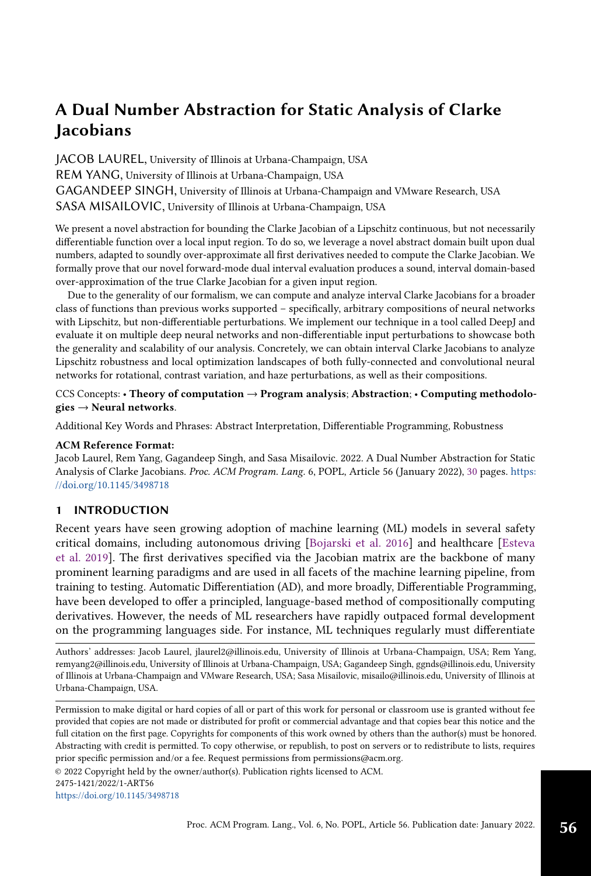JACOB LAUREL, University of Illinois at Urbana-Champaign, USA REM YANG, University of Illinois at Urbana-Champaign, USA GAGANDEEP SINGH, University of Illinois at Urbana-Champaign and VMware Research, USA SASA MISAILOVIC, University of Illinois at Urbana-Champaign, USA

We present a novel abstraction for bounding the Clarke Jacobian of a Lipschitz continuous, but not necessarily differentiable function over a local input region. To do so, we leverage a novel abstract domain built upon dual numbers, adapted to soundly over-approximate all first derivatives needed to compute the Clarke Jacobian. We formally prove that our novel forward-mode dual interval evaluation produces a sound, interval domain-based over-approximation of the true Clarke Jacobian for a given input region.

Due to the generality of our formalism, we can compute and analyze interval Clarke Jacobians for a broader class of functions than previous works supported – specifically, arbitrary compositions of neural networks with Lipschitz, but non-differentiable perturbations. We implement our technique in a tool called DeepJ and evaluate it on multiple deep neural networks and non-differentiable input perturbations to showcase both the generality and scalability of our analysis. Concretely, we can obtain interval Clarke Jacobians to analyze Lipschitz robustness and local optimization landscapes of both fully-connected and convolutional neural networks for rotational, contrast variation, and haze perturbations, as well as their compositions.

## CCS Concepts: • Theory of computation  $\rightarrow$  Program analysis; Abstraction; • Computing methodolo $gies \rightarrow$  Neural networks.

Additional Key Words and Phrases: Abstract Interpretation, Differentiable Programming, Robustness

## ACM Reference Format:

Jacob Laurel, Rem Yang, Gagandeep Singh, and Sasa Misailovic. 2022. A Dual Number Abstraction for Static Analysis of Clarke Jacobians. Proc. ACM Program. Lang. 6, POPL, Article 56 (January 2022), [30](#page--1-0) pages. [https:](https://doi.org/10.1145/3498718) [//doi.org/10.1145/3498718](https://doi.org/10.1145/3498718)

# 1 INTRODUCTION

Recent years have seen growing adoption of machine learning (ML) models in several safety critical domains, including autonomous driving [\[Bojarski et al.](#page-27-0) [2016\]](#page-27-0) and healthcare [\[Esteva](#page-28-0) [et al.](#page-28-0) [2019\]](#page-28-0). The first derivatives specified via the Jacobian matrix are the backbone of many prominent learning paradigms and are used in all facets of the machine learning pipeline, from training to testing. Automatic Differentiation (AD), and more broadly, Differentiable Programming, have been developed to offer a principled, language-based method of compositionally computing derivatives. However, the needs of ML researchers have rapidly outpaced formal development on the programming languages side. For instance, ML techniques regularly must differentiate

Authors' addresses: Jacob Laurel, jlaurel2@illinois.edu, University of Illinois at Urbana-Champaign, USA; Rem Yang, remyang2@illinois.edu, University of Illinois at Urbana-Champaign, USA; Gagandeep Singh, ggnds@illinois.edu, University of Illinois at Urbana-Champaign and VMware Research, USA; Sasa Misailovic, misailo@illinois.edu, University of Illinois at Urbana-Champaign, USA.

© 2022 Copyright held by the owner/author(s). Publication rights licensed to ACM.

<https://doi.org/10.1145/3498718>

Permission to make digital or hard copies of all or part of this work for personal or classroom use is granted without fee provided that copies are not made or distributed for profit or commercial advantage and that copies bear this notice and the full citation on the first page. Copyrights for components of this work owned by others than the author(s) must be honored. Abstracting with credit is permitted. To copy otherwise, or republish, to post on servers or to redistribute to lists, requires prior specific permission and/or a fee. Request permissions from permissions@acm.org.

<sup>2475-1421/2022/1-</sup>ART56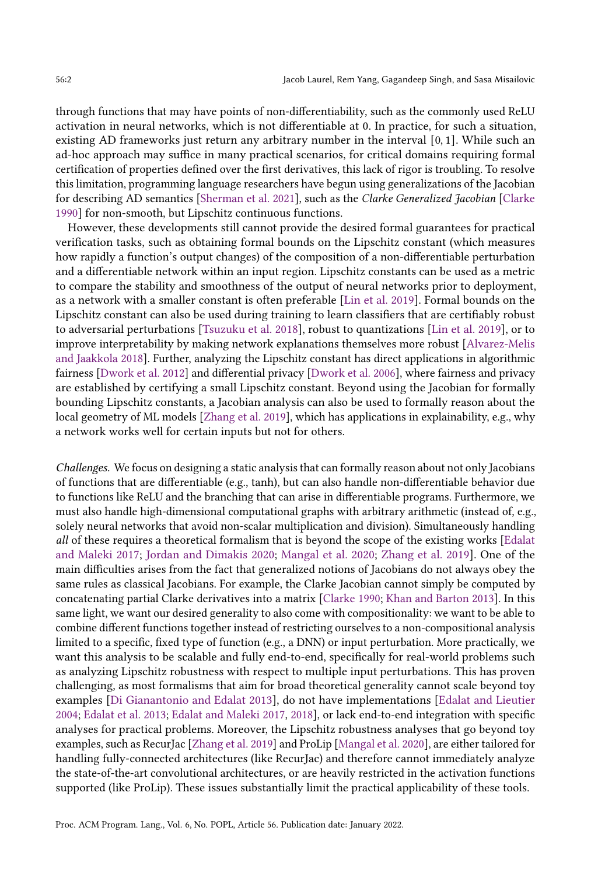through functions that may have points of non-differentiability, such as the commonly used ReLU activation in neural networks, which is not differentiable at 0. In practice, for such a situation, existing AD frameworks just return any arbitrary number in the interval [0, 1]. While such an ad-hoc approach may suffice in many practical scenarios, for critical domains requiring formal certification of properties defined over the first derivatives, this lack of rigor is troubling. To resolve this limitation, programming language researchers have begun using generalizations of the Jacobian for describing AD semantics [\[Sherman et al.](#page-29-0) [2021\]](#page-29-0), such as the Clarke Generalized Jacobian [\[Clarke](#page-28-1) [1990\]](#page-28-1) for non-smooth, but Lipschitz continuous functions.

However, these developments still cannot provide the desired formal guarantees for practical verification tasks, such as obtaining formal bounds on the Lipschitz constant (which measures how rapidly a function's output changes) of the composition of a non-differentiable perturbation and a differentiable network within an input region. Lipschitz constants can be used as a metric to compare the stability and smoothness of the output of neural networks prior to deployment, as a network with a smaller constant is often preferable [\[Lin et al.](#page-29-1) [2019\]](#page-29-1). Formal bounds on the Lipschitz constant can also be used during training to learn classifiers that are certifiably robust to adversarial perturbations [\[Tsuzuku et al.](#page-29-2) [2018\]](#page-29-2), robust to quantizations [\[Lin et al.](#page-29-1) [2019\]](#page-29-1), or to improve interpretability by making network explanations themselves more robust [\[Alvarez-Melis](#page-27-1) [and Jaakkola](#page-27-1) [2018\]](#page-27-1). Further, analyzing the Lipschitz constant has direct applications in algorithmic fairness [\[Dwork et al.](#page-28-2) [2012\]](#page-28-2) and differential privacy [\[Dwork et al.](#page-28-3) [2006\]](#page-28-3), where fairness and privacy are established by certifying a small Lipschitz constant. Beyond using the Jacobian for formally bounding Lipschitz constants, a Jacobian analysis can also be used to formally reason about the local geometry of ML models [\[Zhang et al.](#page-29-3) [2019\]](#page-29-3), which has applications in explainability, e.g., why a network works well for certain inputs but not for others.

Challenges. We focus on designing a static analysis that can formally reason about not only Jacobians of functions that are differentiable (e.g., tanh), but can also handle non-differentiable behavior due to functions like ReLU and the branching that can arise in differentiable programs. Furthermore, we must also handle high-dimensional computational graphs with arbitrary arithmetic (instead of, e.g., solely neural networks that avoid non-scalar multiplication and division). Simultaneously handling all of these requires a theoretical formalism that is beyond the scope of the existing works [\[Edalat](#page-28-4) [and Maleki](#page-28-4) [2017;](#page-28-4) [Jordan and Dimakis](#page-28-5) [2020;](#page-28-5) [Mangal et al.](#page-29-4) [2020;](#page-29-4) [Zhang et al.](#page-29-3) [2019\]](#page-29-3). One of the main difficulties arises from the fact that generalized notions of Jacobians do not always obey the same rules as classical Jacobians. For example, the Clarke Jacobian cannot simply be computed by concatenating partial Clarke derivatives into a matrix [\[Clarke](#page-28-1) [1990;](#page-28-1) [Khan and Barton](#page-28-6) [2013\]](#page-28-6). In this same light, we want our desired generality to also come with compositionality: we want to be able to combine different functions together instead of restricting ourselves to a non-compositional analysis limited to a specific, fixed type of function (e.g., a DNN) or input perturbation. More practically, we want this analysis to be scalable and fully end-to-end, specifically for real-world problems such as analyzing Lipschitz robustness with respect to multiple input perturbations. This has proven challenging, as most formalisms that aim for broad theoretical generality cannot scale beyond toy examples [\[Di Gianantonio and Edalat](#page-28-7) [2013\]](#page-28-7), do not have implementations [\[Edalat and Lieutier](#page-28-8) [2004;](#page-28-8) [Edalat et al.](#page-28-9) [2013;](#page-28-9) [Edalat and Maleki](#page-28-4) [2017,](#page-28-4) [2018\]](#page-28-10), or lack end-to-end integration with specific analyses for practical problems. Moreover, the Lipschitz robustness analyses that go beyond toy examples, such as RecurJac [\[Zhang et al.](#page-29-3) [2019\]](#page-29-3) and ProLip [\[Mangal et al.](#page-29-4) [2020\]](#page-29-4), are either tailored for handling fully-connected architectures (like RecurJac) and therefore cannot immediately analyze the state-of-the-art convolutional architectures, or are heavily restricted in the activation functions supported (like ProLip). These issues substantially limit the practical applicability of these tools.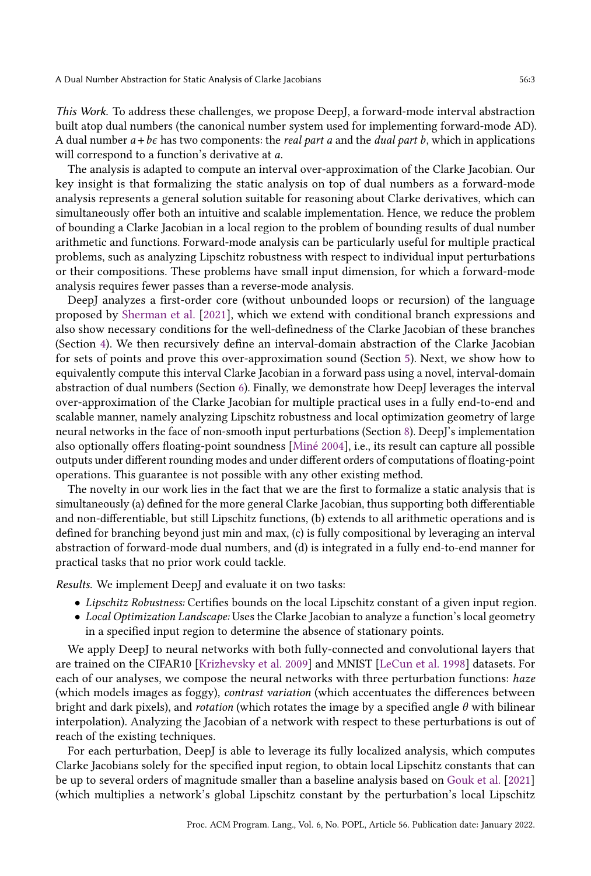This Work. To address these challenges, we propose DeepJ, a forward-mode interval abstraction built atop dual numbers (the canonical number system used for implementing forward-mode AD). A dual number  $a + b\epsilon$  has two components: the *real part a* and the *dual part b*, which in applications will correspond to a function's derivative at  $a$ .

The analysis is adapted to compute an interval over-approximation of the Clarke Jacobian. Our key insight is that formalizing the static analysis on top of dual numbers as a forward-mode analysis represents a general solution suitable for reasoning about Clarke derivatives, which can simultaneously offer both an intuitive and scalable implementation. Hence, we reduce the problem of bounding a Clarke Jacobian in a local region to the problem of bounding results of dual number arithmetic and functions. Forward-mode analysis can be particularly useful for multiple practical problems, such as analyzing Lipschitz robustness with respect to individual input perturbations or their compositions. These problems have small input dimension, for which a forward-mode analysis requires fewer passes than a reverse-mode analysis.

DeepJ analyzes a first-order core (without unbounded loops or recursion) of the language proposed by [Sherman et al.](#page-29-0) [\[2021\]](#page-29-0), which we extend with conditional branch expressions and also show necessary conditions for the well-definedness of the Clarke Jacobian of these branches (Section [4\)](#page-9-0). We then recursively define an interval-domain abstraction of the Clarke Jacobian for sets of points and prove this over-approximation sound (Section [5\)](#page-14-0). Next, we show how to equivalently compute this interval Clarke Jacobian in a forward pass using a novel, interval-domain abstraction of dual numbers (Section [6\)](#page-16-0). Finally, we demonstrate how DeepJ leverages the interval over-approximation of the Clarke Jacobian for multiple practical uses in a fully end-to-end and scalable manner, namely analyzing Lipschitz robustness and local optimization geometry of large neural networks in the face of non-smooth input perturbations (Section [8\)](#page-21-0). DeepJ's implementation also optionally offers floating-point soundness [\[Miné](#page-29-5) [2004\]](#page-29-5), i.e., its result can capture all possible outputs under different rounding modes and under different orders of computations of floating-point operations. This guarantee is not possible with any other existing method.

The novelty in our work lies in the fact that we are the first to formalize a static analysis that is simultaneously (a) defined for the more general Clarke Jacobian, thus supporting both differentiable and non-differentiable, but still Lipschitz functions, (b) extends to all arithmetic operations and is defined for branching beyond just min and max, (c) is fully compositional by leveraging an interval abstraction of forward-mode dual numbers, and (d) is integrated in a fully end-to-end manner for practical tasks that no prior work could tackle.

Results. We implement DeepJ and evaluate it on two tasks:

- Lipschitz Robustness: Certifies bounds on the local Lipschitz constant of a given input region.
- Local Optimization Landscape: Uses the Clarke Jacobian to analyze a function's local geometry in a specified input region to determine the absence of stationary points.

We apply DeepJ to neural networks with both fully-connected and convolutional layers that are trained on the CIFAR10 [\[Krizhevsky et al.](#page-28-11) [2009\]](#page-28-11) and MNIST [\[LeCun et al.](#page-29-6) [1998\]](#page-29-6) datasets. For each of our analyses, we compose the neural networks with three perturbation functions: haze (which models images as foggy), contrast variation (which accentuates the differences between bright and dark pixels), and *rotation* (which rotates the image by a specified angle  $\theta$  with bilinear interpolation). Analyzing the Jacobian of a network with respect to these perturbations is out of reach of the existing techniques.

For each perturbation, DeepJ is able to leverage its fully localized analysis, which computes Clarke Jacobians solely for the specified input region, to obtain local Lipschitz constants that can be up to several orders of magnitude smaller than a baseline analysis based on [Gouk et al.](#page-28-12) [\[2021\]](#page-28-12) (which multiplies a network's global Lipschitz constant by the perturbation's local Lipschitz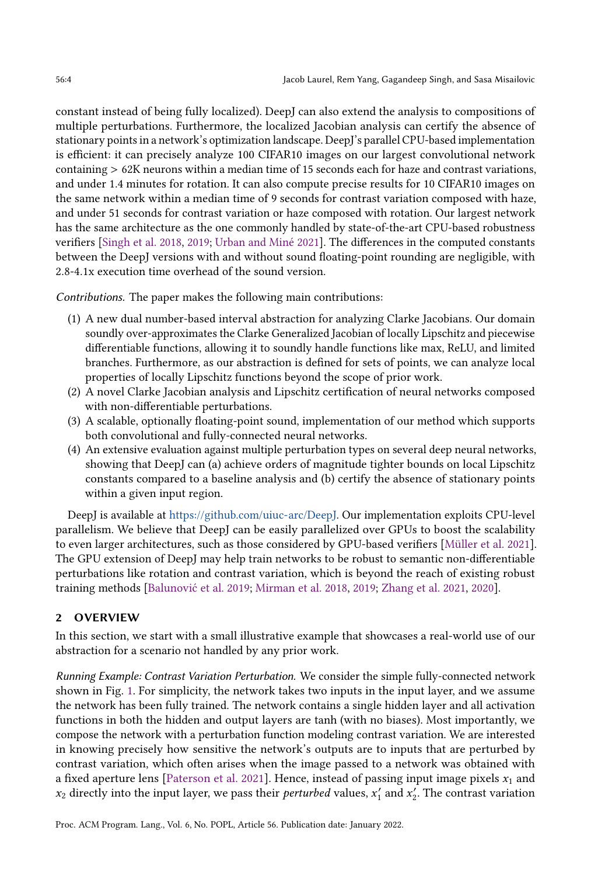constant instead of being fully localized). DeepJ can also extend the analysis to compositions of multiple perturbations. Furthermore, the localized Jacobian analysis can certify the absence of stationary points in a network's optimization landscape. DeepJ's parallel CPU-based implementation is efficient: it can precisely analyze 100 CIFAR10 images on our largest convolutional network containing > 62K neurons within a median time of 15 seconds each for haze and contrast variations, and under 1.4 minutes for rotation. It can also compute precise results for 10 CIFAR10 images on the same network within a median time of 9 seconds for contrast variation composed with haze, and under 51 seconds for contrast variation or haze composed with rotation. Our largest network has the same architecture as the one commonly handled by state-of-the-art CPU-based robustness verifiers [\[Singh et al.](#page-29-7) [2018,](#page-29-7) [2019;](#page-29-8) [Urban and Miné](#page-29-9) [2021\]](#page-29-9). The differences in the computed constants between the DeepJ versions with and without sound floating-point rounding are negligible, with 2.8-4.1x execution time overhead of the sound version.

Contributions. The paper makes the following main contributions:

- (1) A new dual number-based interval abstraction for analyzing Clarke Jacobians. Our domain soundly over-approximates the Clarke Generalized Jacobian of locally Lipschitz and piecewise differentiable functions, allowing it to soundly handle functions like max, ReLU, and limited branches. Furthermore, as our abstraction is defined for sets of points, we can analyze local properties of locally Lipschitz functions beyond the scope of prior work.
- (2) A novel Clarke Jacobian analysis and Lipschitz certification of neural networks composed with non-differentiable perturbations.
- (3) A scalable, optionally floating-point sound, implementation of our method which supports both convolutional and fully-connected neural networks.
- (4) An extensive evaluation against multiple perturbation types on several deep neural networks, showing that DeepJ can (a) achieve orders of magnitude tighter bounds on local Lipschitz constants compared to a baseline analysis and (b) certify the absence of stationary points within a given input region.

DeepJ is available at [https://github.com/uiuc-arc/DeepJ.](https://github.com/uiuc-arc/DeepJ) Our implementation exploits CPU-level parallelism. We believe that DeepJ can be easily parallelized over GPUs to boost the scalability to even larger architectures, such as those considered by GPU-based verifiers [\[Müller et al.](#page-29-10) [2021\]](#page-29-10). The GPU extension of DeepJ may help train networks to be robust to semantic non-differentiable perturbations like rotation and contrast variation, which is beyond the reach of existing robust training methods [\[Balunović et al.](#page-27-2) [2019;](#page-27-2) [Mirman et al.](#page-29-11) [2018,](#page-29-11) [2019;](#page-29-12) [Zhang et al.](#page-29-13) [2021,](#page-29-13) [2020\]](#page-29-14).

## 2 OVERVIEW

In this section, we start with a small illustrative example that showcases a real-world use of our abstraction for a scenario not handled by any prior work.

Running Example: Contrast Variation Perturbation. We consider the simple fully-connected network shown in Fig. [1.](#page-4-0) For simplicity, the network takes two inputs in the input layer, and we assume the network has been fully trained. The network contains a single hidden layer and all activation functions in both the hidden and output layers are tanh (with no biases). Most importantly, we compose the network with a perturbation function modeling contrast variation. We are interested in knowing precisely how sensitive the network's outputs are to inputs that are perturbed by contrast variation, which often arises when the image passed to a network was obtained with a fixed aperture lens [\[Paterson et al.](#page-29-15) [2021\]](#page-29-15). Hence, instead of passing input image pixels  $x_1$  and  $x_2$  directly into the input layer, we pass their *perturbed* values,  $x'_1$  and  $x'_2$ . The contrast variation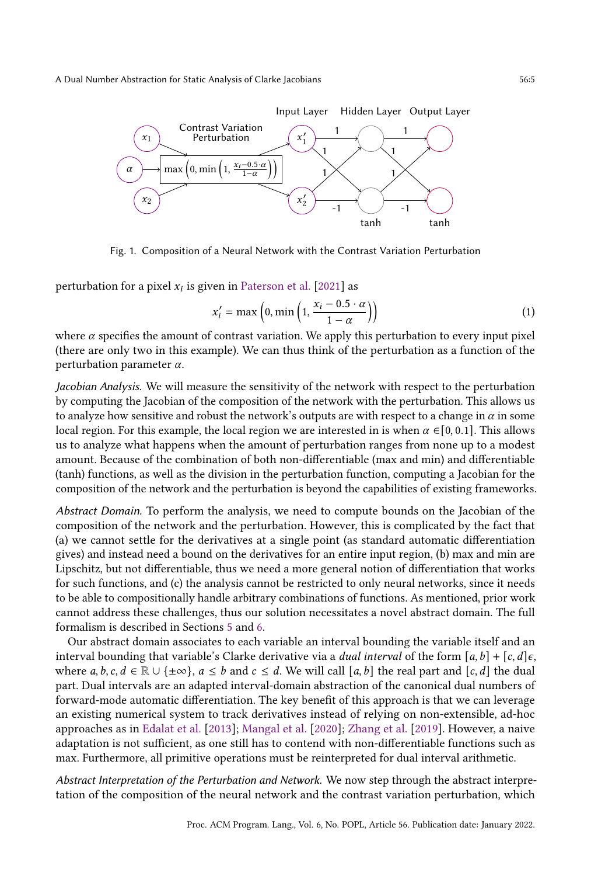<span id="page-4-0"></span>

Fig. 1. Composition of a Neural Network with the Contrast Variation Perturbation

perturbation for a pixel  $x_i$  is given in [Paterson et al.](#page-29-15) [\[2021\]](#page-29-15) as

<span id="page-4-1"></span>
$$
x'_{i} = \max\left(0, \min\left(1, \frac{x_{i} - 0.5 \cdot \alpha}{1 - \alpha}\right)\right) \tag{1}
$$

where  $\alpha$  specifies the amount of contrast variation. We apply this perturbation to every input pixel (there are only two in this example). We can thus think of the perturbation as a function of the perturbation parameter  $\alpha$ .

Jacobian Analysis. We will measure the sensitivity of the network with respect to the perturbation by computing the Jacobian of the composition of the network with the perturbation. This allows us to analyze how sensitive and robust the network's outputs are with respect to a change in  $\alpha$  in some local region. For this example, the local region we are interested in is when  $\alpha \in [0, 0.1]$ . This allows us to analyze what happens when the amount of perturbation ranges from none up to a modest amount. Because of the combination of both non-differentiable (max and min) and differentiable (tanh) functions, as well as the division in the perturbation function, computing a Jacobian for the composition of the network and the perturbation is beyond the capabilities of existing frameworks.

Abstract Domain. To perform the analysis, we need to compute bounds on the Jacobian of the composition of the network and the perturbation. However, this is complicated by the fact that (a) we cannot settle for the derivatives at a single point (as standard automatic differentiation gives) and instead need a bound on the derivatives for an entire input region, (b) max and min are Lipschitz, but not differentiable, thus we need a more general notion of differentiation that works for such functions, and (c) the analysis cannot be restricted to only neural networks, since it needs to be able to compositionally handle arbitrary combinations of functions. As mentioned, prior work cannot address these challenges, thus our solution necessitates a novel abstract domain. The full formalism is described in Sections [5](#page-14-0) and [6.](#page-16-0)

Our abstract domain associates to each variable an interval bounding the variable itself and an interval bounding that variable's Clarke derivative via a *dual interval* of the form  $[a, b] + [c, d] \epsilon$ , where  $a, b, c, d \in \mathbb{R} \cup \{\pm \infty\}, a \leq b$  and  $c \leq d$ . We will call [a, b] the real part and [c, d] the dual part. Dual intervals are an adapted interval-domain abstraction of the canonical dual numbers of forward-mode automatic differentiation. The key benefit of this approach is that we can leverage an existing numerical system to track derivatives instead of relying on non-extensible, ad-hoc approaches as in [Edalat et al.](#page-28-9) [\[2013\]](#page-28-9); [Mangal et al.](#page-29-4) [\[2020\]](#page-29-4); [Zhang et al.](#page-29-3) [\[2019\]](#page-29-3). However, a naive adaptation is not sufficient, as one still has to contend with non-differentiable functions such as max. Furthermore, all primitive operations must be reinterpreted for dual interval arithmetic.

Abstract Interpretation of the Perturbation and Network. We now step through the abstract interpretation of the composition of the neural network and the contrast variation perturbation, which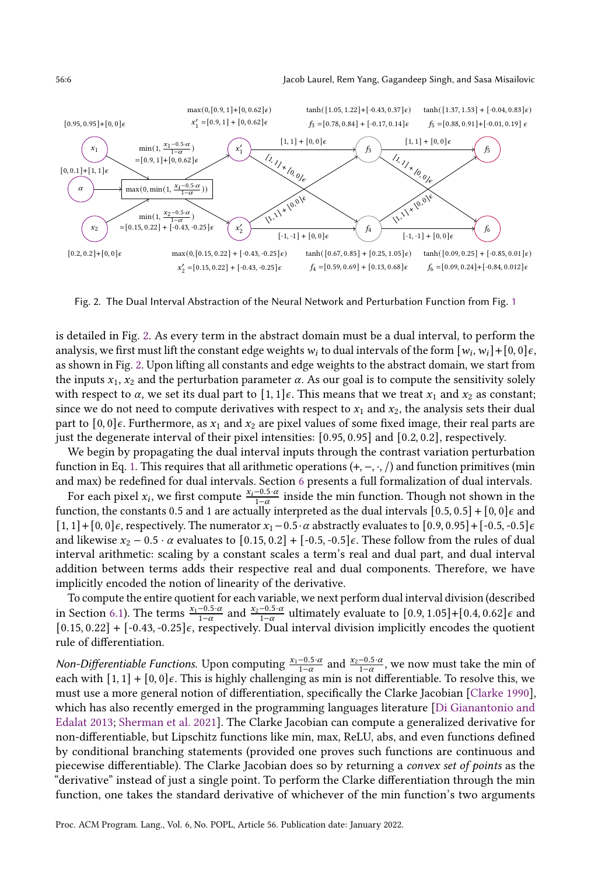<span id="page-5-0"></span>

Fig. 2. The Dual Interval Abstraction of the Neural Network and Perturbation Function from Fig. [1](#page-4-0)

is detailed in Fig. [2.](#page-5-0) As every term in the abstract domain must be a dual interval, to perform the analysis, we first must lift the constant edge weights  $w_i$  to dual intervals of the form  $[w_i, w_i] + [0, 0] \epsilon$ , as shown in Fig. [2.](#page-5-0) Upon lifting all constants and edge weights to the abstract domain, we start from the inputs  $x_1, x_2$  and the perturbation parameter  $\alpha$ . As our goal is to compute the sensitivity solely with respect to  $\alpha$ , we set its dual part to  $[1, 1] \epsilon$ . This means that we treat  $x_1$  and  $x_2$  as constant; since we do not need to compute derivatives with respect to  $x_1$  and  $x_2$ , the analysis sets their dual part to  $[0, 0] \epsilon$ . Furthermore, as  $x_1$  and  $x_2$  are pixel values of some fixed image, their real parts are just the degenerate interval of their pixel intensities: [0.95, 0.95] and [0.2, 0.2], respectively.

We begin by propagating the dual interval inputs through the contrast variation perturbation function in Eq. [1.](#page-4-1) This requires that all arithmetic operations  $(+, -, \cdot, /)$  and function primitives (min and max) be redefined for dual intervals. Section [6](#page-16-0) presents a full formalization of dual intervals.

For each pixel  $x_i$ , we first compute  $\frac{x_i-0.5\cdot\alpha}{1-\alpha}$  inside the min function. Though not shown in the function, the constants 0.5 and 1 are actually interpreted as the dual intervals  $[0.5, 0.5] + [0, 0] \epsilon$  and [1, 1] + [0, 0] $\epsilon$ , respectively. The numerator  $x_1 - 0.5 \cdot \alpha$  abstractly evaluates to [0.9, 0.95] + [-0.5, -0.5] $\epsilon$ and likewise  $x_2 - 0.5 \cdot \alpha$  evaluates to  $[0.15, 0.2] + [-0.5, -0.5] \epsilon$ . These follow from the rules of dual interval arithmetic: scaling by a constant scales a term's real and dual part, and dual interval addition between terms adds their respective real and dual components. Therefore, we have implicitly encoded the notion of linearity of the derivative.

To compute the entire quotient for each variable, we next perform dual interval division (described in Section [6.1\)](#page-16-1). The terms  $\frac{x_1-0.5\cdot\alpha}{1-\alpha}$  and  $\frac{x_2-0.5\cdot\alpha}{1-\alpha}$  ultimately evaluate to [0.9, 1.05]+[0.4, 0.62] $\epsilon$  and  $[0.15, 0.22] + [-0.43, -0.25] \epsilon$ , respectively. Dual interval division implicitly encodes the quotient rule of differentiation.

*Non-Differentiable Functions.* Upon computing  $\frac{x_1-0.5\cdot\alpha}{1-\alpha}$  and  $\frac{x_2-0.5\cdot\alpha}{1-\alpha}$ , we now must take the min of each with  $[1, 1] + [0, 0] \epsilon$ . This is highly challenging as min is not differentiable. To resolve this, we must use a more general notion of differentiation, specifically the Clarke Jacobian [\[Clarke](#page-28-1) [1990\]](#page-28-1), which has also recently emerged in the programming languages literature [\[Di Gianantonio and](#page-28-7) [Edalat](#page-28-7) [2013;](#page-28-7) [Sherman et al.](#page-29-0) [2021\]](#page-29-0). The Clarke Jacobian can compute a generalized derivative for non-differentiable, but Lipschitz functions like min, max, ReLU, abs, and even functions defined by conditional branching statements (provided one proves such functions are continuous and piecewise differentiable). The Clarke Jacobian does so by returning a convex set of points as the "derivative" instead of just a single point. To perform the Clarke differentiation through the min function, one takes the standard derivative of whichever of the min function's two arguments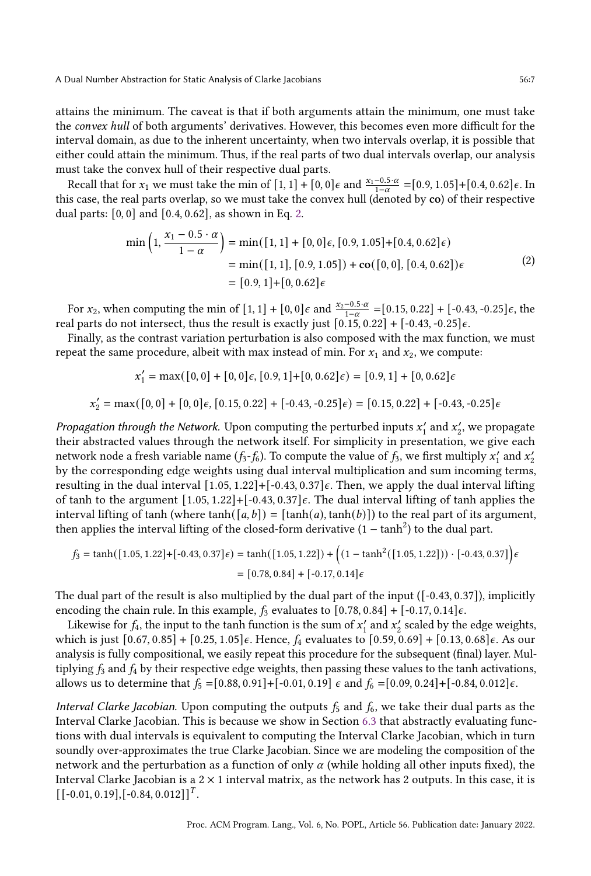attains the minimum. The caveat is that if both arguments attain the minimum, one must take the convex hull of both arguments' derivatives. However, this becomes even more difficult for the interval domain, as due to the inherent uncertainty, when two intervals overlap, it is possible that either could attain the minimum. Thus, if the real parts of two dual intervals overlap, our analysis must take the convex hull of their respective dual parts.

Recall that for  $x_1$  we must take the min of  $[1, 1] + [0, 0] \epsilon$  and  $\frac{x_1 - 0.5 \cdot \alpha}{1 - \alpha} = [0.9, 1.05] + [0.4, 0.62] \epsilon$ . In this case, the real parts overlap, so we must take the convex hull (denoted by co) of their respective dual parts: [0, 0] and [0.4, 0.62], as shown in Eq. [2.](#page-6-0)

$$
\min\left(1, \frac{x_1 - 0.5 \cdot \alpha}{1 - \alpha}\right) = \min([1, 1] + [0, 0]\epsilon, [0.9, 1.05] + [0.4, 0.62]\epsilon) \n= \min([1, 1], [0.9, 1.05]) + \mathbf{co}([0, 0], [0.4, 0.62])\epsilon \n= [0.9, 1] + [0, 0.62]\epsilon
$$
\n(2)

<span id="page-6-0"></span>For  $x_2$ , when computing the min of [1, 1] + [0, 0] $\epsilon$  and  $\frac{x_2-0.5\cdot\alpha}{1-\alpha}$  =[0.15, 0.22] + [-0.43, -0.25] $\epsilon$ , the real parts do not intersect, thus the result is exactly just  $[0.15, 0.22] + [-0.43, -0.25] \epsilon$ .

Finally, as the contrast variation perturbation is also composed with the max function, we must repeat the same procedure, albeit with max instead of min. For  $x_1$  and  $x_2$ , we compute:

$$
x'_1 = \max([0,0] + [0,0]\epsilon, [0.9,1] + [0,0.62]\epsilon) = [0.9,1] + [0,0.62]\epsilon
$$

$$
x'_2 = \max([0, 0] + [0, 0]\epsilon, [0.15, 0.22] + [-0.43, -0.25]\epsilon) = [0.15, 0.22] + [-0.43, -0.25]\epsilon
$$

Propagation through the Network. Upon computing the perturbed inputs  $x'_1$  and  $x'_2$ , we propagate their abstracted values through the network itself. For simplicity in presentation, we give each network node a fresh variable name ( $f_3$ - $f_6$ ). To compute the value of  $f_3$ , we first multiply  $x'_1$  and  $x'_2$ by the corresponding edge weights using dual interval multiplication and sum incoming terms, resulting in the dual interval  $[1.05, 1.22] + [-0.43, 0.37] \epsilon$ . Then, we apply the dual interval lifting of tanh to the argument  $[1.05, 1.22] + [-0.43, 0.37] \epsilon$ . The dual interval lifting of tanh applies the interval lifting of tanh (where tanh( $[a, b]$ ) =  $[\tanh(a), \tanh(b)]$ ) to the real part of its argument, then applies the interval lifting of the closed-form derivative  $(1 - \tanh^2)$  to the dual part.

$$
f_3 = \tanh([1.05, 1.22] + [-0.43, 0.37]\epsilon) = \tanh([1.05, 1.22]) + ((1 - \tanh^2([1.05, 1.22])) \cdot [-0.43, 0.37])\epsilon
$$

$$
= [0.78, 0.84] + [-0.17, 0.14]\epsilon
$$

The dual part of the result is also multiplied by the dual part of the input ([-0.43, 0.37]), implicitly encoding the chain rule. In this example,  $f_3$  evaluates to  $[0.78, 0.84] + [-0.17, 0.14] \epsilon$ .

Likewise for  $f_4$ , the input to the tanh function is the sum of  $x'_1$  and  $x'_2$  scaled by the edge weights, which is just  $[0.67, 0.85] + [0.25, 1.05] \epsilon$ . Hence,  $f_4$  evaluates to  $[0.59, 0.69] + [0.13, 0.68] \epsilon$ . As our analysis is fully compositional, we easily repeat this procedure for the subsequent (final) layer. Multiplying  $f_3$  and  $f_4$  by their respective edge weights, then passing these values to the tanh activations, allows us to determine that  $f_5 = [0.88, 0.91] + [-0.01, 0.19] \epsilon$  and  $f_6 = [0.09, 0.24] + [-0.84, 0.012] \epsilon$ .

Interval Clarke Jacobian. Upon computing the outputs  $f_5$  and  $f_6$ , we take their dual parts as the Interval Clarke Jacobian. This is because we show in Section [6.3](#page-18-0) that abstractly evaluating functions with dual intervals is equivalent to computing the Interval Clarke Jacobian, which in turn soundly over-approximates the true Clarke Jacobian. Since we are modeling the composition of the network and the perturbation as a function of only  $\alpha$  (while holding all other inputs fixed), the Interval Clarke Jacobian is a  $2 \times 1$  interval matrix, as the network has 2 outputs. In this case, it is  $\left[ \left[ -0.01, 0.19 \right], \left[ -0.84, 0.012 \right] \right]^T$ .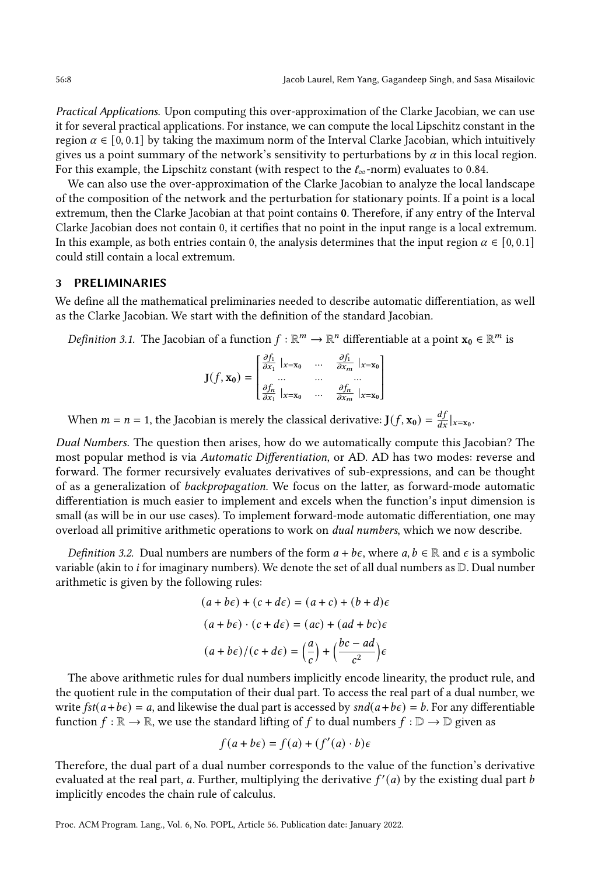Practical Applications. Upon computing this over-approximation of the Clarke Jacobian, we can use it for several practical applications. For instance, we can compute the local Lipschitz constant in the region  $\alpha \in [0, 0.1]$  by taking the maximum norm of the Interval Clarke Jacobian, which intuitively gives us a point summary of the network's sensitivity to perturbations by  $\alpha$  in this local region. For this example, the Lipschitz constant (with respect to the  $\ell_{\infty}$ -norm) evaluates to 0.84.

We can also use the over-approximation of the Clarke Jacobian to analyze the local landscape of the composition of the network and the perturbation for stationary points. If a point is a local extremum, then the Clarke Jacobian at that point contains 0. Therefore, if any entry of the Interval Clarke Jacobian does not contain 0, it certifies that no point in the input range is a local extremum. In this example, as both entries contain 0, the analysis determines that the input region  $\alpha \in [0, 0.1]$ could still contain a local extremum.

#### 3 PRELIMINARIES

We define all the mathematical preliminaries needed to describe automatic differentiation, as well as the Clarke Jacobian. We start with the definition of the standard Jacobian.

*Definition* 3.1. The Jacobian of a function  $f : \mathbb{R}^m \to \mathbb{R}^n$  differentiable at a point  $x_0 \in \mathbb{R}^m$  is

$$
\mathbf{J}(f, \mathbf{x_0}) = \begin{bmatrix} \frac{\partial f_1}{\partial x_1} \mid_{x = x_0} & \dots & \frac{\partial f_1}{\partial x_m} \mid_{x = x_0} \\ \dots & \dots & \dots \\ \frac{\partial f_n}{\partial x_1} \mid_{x = x_0} & \dots & \frac{\partial f_n}{\partial x_m} \mid_{x = x_0} \end{bmatrix}
$$

When  $m = n = 1$ , the Jacobian is merely the classical derivative:  $J(f, x_0) = \frac{df}{dx}|_{x=x_0}$ .

Dual Numbers. The question then arises, how do we automatically compute this Jacobian? The most popular method is via Automatic Differentiation, or AD. AD has two modes: reverse and forward. The former recursively evaluates derivatives of sub-expressions, and can be thought of as a generalization of backpropagation. We focus on the latter, as forward-mode automatic differentiation is much easier to implement and excels when the function's input dimension is small (as will be in our use cases). To implement forward-mode automatic differentiation, one may overload all primitive arithmetic operations to work on dual numbers, which we now describe.

*Definition 3.2.* Dual numbers are numbers of the form  $a + b\epsilon$ , where  $a, b \in \mathbb{R}$  and  $\epsilon$  is a symbolic variable (akin to *i* for imaginary numbers). We denote the set of all dual numbers as  $D$ . Dual number arithmetic is given by the following rules:

$$
(a+b\epsilon) + (c+d\epsilon) = (a+c) + (b+d)\epsilon
$$

$$
(a+b\epsilon) \cdot (c+d\epsilon) = (ac) + (ad+bc)\epsilon
$$

$$
(a+b\epsilon)/(c+d\epsilon) = \left(\frac{a}{c}\right) + \left(\frac{bc-ad}{c^2}\right)\epsilon
$$

The above arithmetic rules for dual numbers implicitly encode linearity, the product rule, and the quotient rule in the computation of their dual part. To access the real part of a dual number, we write  $fst(a + b\epsilon) = a$ , and likewise the dual part is accessed by  $snd(a + b\epsilon) = b$ . For any differentiable function  $f : \mathbb{R} \to \mathbb{R}$ , we use the standard lifting of f to dual numbers  $f : \mathbb{D} \to \mathbb{D}$  given as

$$
f(a+b\epsilon) = f(a) + (f'(a) \cdot b)\epsilon
$$

Therefore, the dual part of a dual number corresponds to the value of the function's derivative evaluated at the real part, a. Further, multiplying the derivative  $f'(a)$  by the existing dual part b implicitly encodes the chain rule of calculus.

Proc. ACM Program. Lang., Vol. 6, No. POPL, Article 56. Publication date: January 2022.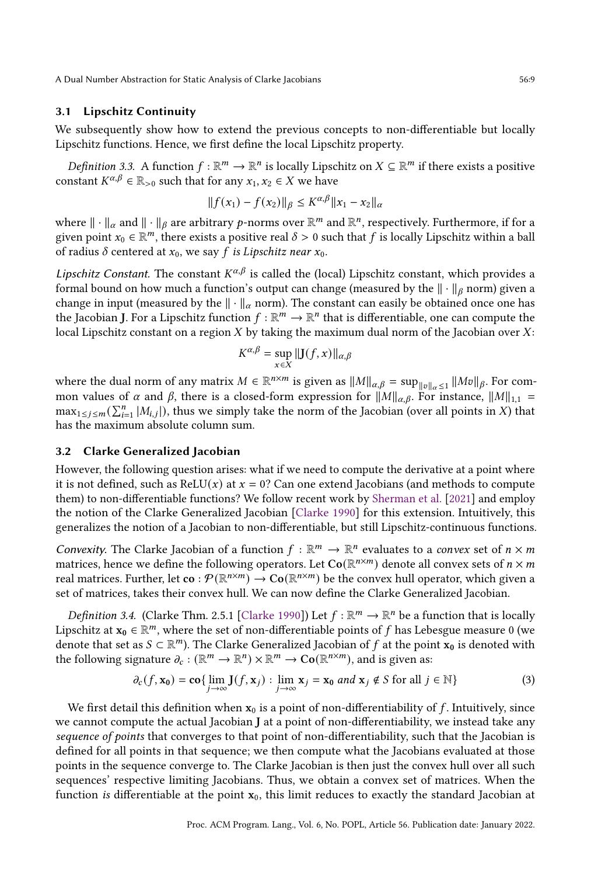## 3.1 Lipschitz Continuity

We subsequently show how to extend the previous concepts to non-differentiable but locally Lipschitz functions. Hence, we first define the local Lipschitz property.

*Definition* 3.3. A function  $f : \mathbb{R}^m \to \mathbb{R}^n$  is locally Lipschitz on  $X \subseteq \mathbb{R}^m$  if there exists a positive constant  $K^{\alpha,\beta} \in \mathbb{R}_{>0}$  such that for any  $x_1, x_2 \in X$  we have

$$
||f(x_1) - f(x_2)||_{\beta} \le K^{\alpha,\beta} ||x_1 - x_2||_{\alpha}
$$

where  $\|\cdot\|_{\alpha}$  and  $\|\cdot\|_{\beta}$  are arbitrary p-norms over  $\mathbb{R}^m$  and  $\mathbb{R}^n$ , respectively. Furthermore, if for a given point  $x_0 \in \mathbb{R}^m$ , there exists a positive real  $\delta > 0$  such that f is locally Lipschitz within a ball of radius  $\delta$  centered at  $x_0$ , we say f is Lipschitz near  $x_0$ .

Lipschitz Constant. The constant  $K^{\alpha,\beta}$  is called the (local) Lipschitz constant, which provides a formal bound on how much a function's output can change (measured by the  $\|\cdot\|_{\beta}$  norm) given a change in input (measured by the  $\|\cdot\|_{\alpha}$  norm). The constant can easily be obtained once one has the Jacobian J. For a Lipschitz function  $f : \mathbb{R}^m \to \mathbb{R}^n$  that is differentiable, one can compute the local Lipschitz constant on a region  $X$  by taking the maximum dual norm of the Jacobian over  $X$ :

$$
K^{\alpha,\beta} = \sup_{x \in X} ||\mathbf{J}(f,x)||_{\alpha,\beta}
$$

where the dual norm of any matrix  $M \in \mathbb{R}^{n \times m}$  is given as  $||M||_{\alpha,\beta} = \sup_{||v||_{\alpha} \leq 1} ||Mv||_{\beta}$ . For common values of  $\alpha$  and  $\beta$ , there is a closed-form expression for  $||M||_{\alpha,\beta}$ . For instance,  $||M||_{1,1}$  =  $\max_{1 \le j \le m} (\sum_{i=1}^n |M_{i,j}|)$ , thus we simply take the norm of the Jacobian (over all points in X) that has the maximum absolute column sum.

## 3.2 Clarke Generalized Jacobian

However, the following question arises: what if we need to compute the derivative at a point where it is not defined, such as ReLU( $x$ ) at  $x = 0$ ? Can one extend Jacobians (and methods to compute them) to non-differentiable functions? We follow recent work by [Sherman et al.](#page-29-0) [\[2021\]](#page-29-0) and employ the notion of the Clarke Generalized Jacobian [\[Clarke](#page-28-1) [1990\]](#page-28-1) for this extension. Intuitively, this generalizes the notion of a Jacobian to non-differentiable, but still Lipschitz-continuous functions.

Convexity. The Clarke Jacobian of a function  $f : \mathbb{R}^m \to \mathbb{R}^n$  evaluates to a convex set of  $n \times m$ matrices, hence we define the following operators. Let  $\text{Co}(\mathbb{R}^{n\times m})$  denote all convex sets of  $n\times m$ real matrices. Further, let  $\mathbf{co}: \mathcal{P}(\mathbb{R}^{n \times m}) \to \mathbf{Co}(\mathbb{R}^{n \times m})$  be the convex hull operator, which given a set of matrices, takes their convex hull. We can now define the Clarke Generalized Jacobian.

*Definition 3.4.* (Clarke Thm. 2.5.1 [\[Clarke](#page-28-1) [1990\]](#page-28-1)) Let  $f : \mathbb{R}^m \to \mathbb{R}^n$  be a function that is locally Lipschitz at  $x_0 \in \mathbb{R}^m$ , where the set of non-differentiable points of f has Lebesgue measure 0 (we denote that set as  $S \subset \mathbb{R}^m$ ). The Clarke Generalized Jacobian of f at the point  $x_0$  is denoted with the following signature  $\partial_c : (\mathbb{R}^m \to \mathbb{R}^n) \times \mathbb{R}^m \to \text{Co}(\mathbb{R}^{n \times m})$ , and is given as:

$$
\partial_c(f, \mathbf{x_0}) = \mathbf{co} \{ \lim_{j \to \infty} \mathbf{J}(f, \mathbf{x}_j) : \lim_{j \to \infty} \mathbf{x}_j = \mathbf{x_0} \text{ and } \mathbf{x}_j \notin S \text{ for all } j \in \mathbb{N} \}
$$
(3)

We first detail this definition when  $x_0$  is a point of non-differentiability of f. Intuitively, since we cannot compute the actual Jacobian J at a point of non-differentiability, we instead take any sequence of points that converges to that point of non-differentiability, such that the Jacobian is defined for all points in that sequence; we then compute what the Jacobians evaluated at those points in the sequence converge to. The Clarke Jacobian is then just the convex hull over all such sequences' respective limiting Jacobians. Thus, we obtain a convex set of matrices. When the function is differentiable at the point  $x_0$ , this limit reduces to exactly the standard Jacobian at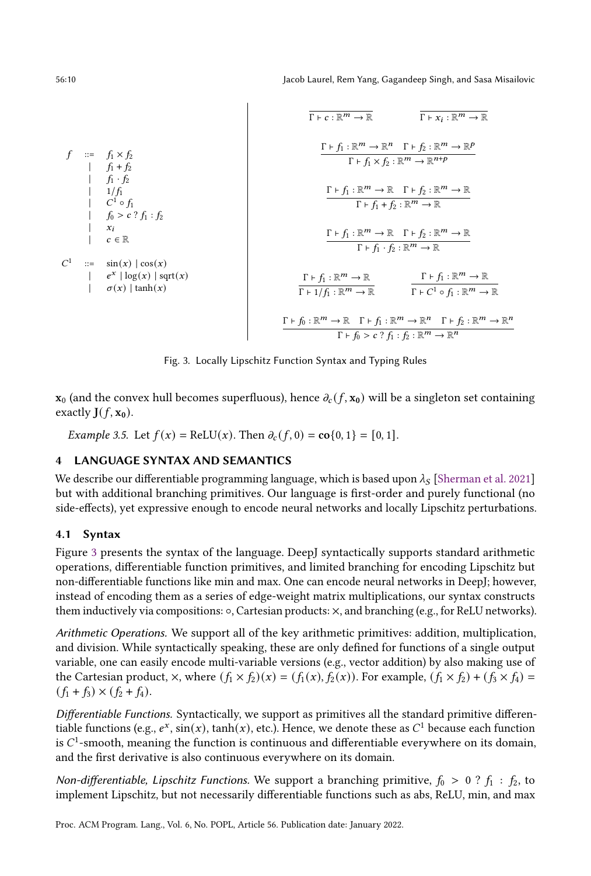56:10 Jacob Laurel, Rem Yang, Gagandeep Singh, and Sasa Misailovic

<span id="page-9-1"></span>

Fig. 3. Locally Lipschitz Function Syntax and Typing Rules

 $\mathbf{x}_0$  (and the convex hull becomes superfluous), hence  $\partial_c(f, \mathbf{x}_0)$  will be a singleton set containing exactly  $J(f, x_0)$ .

*Example 3.5.* Let  $f(x) = \text{ReLU}(x)$ . Then  $\partial_c(f, 0) = \text{co}\{0, 1\} = [0, 1]$ .

# <span id="page-9-0"></span>4 LANGUAGE SYNTAX AND SEMANTICS

We describe our differentiable programming language, which is based upon  $\lambda_S$  [\[Sherman et al.](#page-29-0) [2021\]](#page-29-0) but with additional branching primitives. Our language is first-order and purely functional (no side-effects), yet expressive enough to encode neural networks and locally Lipschitz perturbations.

## 4.1 Syntax

Figure [3](#page-9-1) presents the syntax of the language. DeepJ syntactically supports standard arithmetic operations, differentiable function primitives, and limited branching for encoding Lipschitz but non-differentiable functions like min and max. One can encode neural networks in DeepJ; however, instead of encoding them as a series of edge-weight matrix multiplications, our syntax constructs them inductively via compositions: ◦, Cartesian products: ×, and branching (e.g., for ReLU networks).

Arithmetic Operations. We support all of the key arithmetic primitives: addition, multiplication, and division. While syntactically speaking, these are only defined for functions of a single output variable, one can easily encode multi-variable versions (e.g., vector addition) by also making use of the Cartesian product,  $\times$ , where  $(f_1 \times f_2)(x) = (f_1(x), f_2(x))$ . For example,  $(f_1 \times f_2) + (f_3 \times f_4) =$  $(f_1 + f_3) \times (f_2 + f_4).$ 

Differentiable Functions. Syntactically, we support as primitives all the standard primitive differentiable functions (e.g.,  $e^x$ ,  $\sin(x)$ ,  $\tanh(x)$ , etc.). Hence, we denote these as  $C^1$  because each function is  $C<sup>1</sup>$ -smooth, meaning the function is continuous and differentiable everywhere on its domain, and the first derivative is also continuous everywhere on its domain.

Non-differentiable, Lipschitz Functions. We support a branching primitive,  $f_0 > 0$  ?  $f_1 : f_2$ , to implement Lipschitz, but not necessarily differentiable functions such as abs, ReLU, min, and max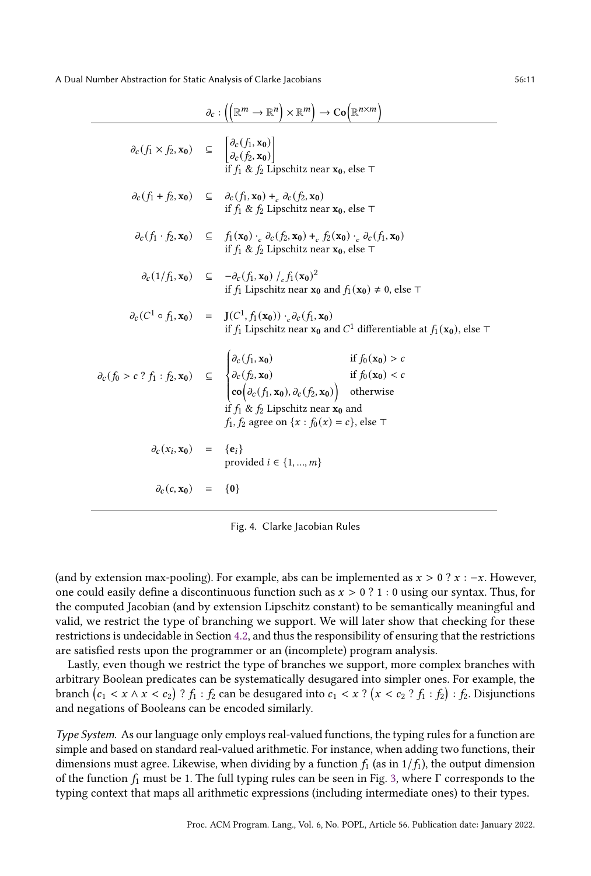<span id="page-10-0"></span>

|                                                                                                                                                   | $\partial_c: \left(\left(\mathbb{R}^m \to \mathbb{R}^n\right) \times \mathbb{R}^m\right) \to \mathrm{Co}\big(\mathbb{R}^{n \times m}\big)$                                                                                                                                                                                                                                                                                   |
|---------------------------------------------------------------------------------------------------------------------------------------------------|------------------------------------------------------------------------------------------------------------------------------------------------------------------------------------------------------------------------------------------------------------------------------------------------------------------------------------------------------------------------------------------------------------------------------|
| $\partial_c(f_1 \times f_2, \mathbf{x_0}) \subseteq \begin{bmatrix} \partial_c(f_1, \mathbf{x_0}) \\ \partial_c(f_2, \mathbf{x_0}) \end{bmatrix}$ | if $f_1 \& f_2$ Lipschitz near $x_0$ , else $\top$                                                                                                                                                                                                                                                                                                                                                                           |
|                                                                                                                                                   | $\partial_c(f_1+f_2,\mathbf{x_0}) \subseteq \partial_c(f_1,\mathbf{x_0}) +_c \partial_c(f_2,\mathbf{x_0})$<br>if $f_1$ & $f_2$ Lipschitz near $x_0$ , else $\top$                                                                                                                                                                                                                                                            |
|                                                                                                                                                   | $\partial_c(f_1 \cdot f_2, \mathbf{x_0}) \subseteq f_1(\mathbf{x_0}) \cdot_c \partial_c(f_2, \mathbf{x_0}) +_c f_2(\mathbf{x_0}) \cdot_c \partial_c(f_1, \mathbf{x_0})$<br>if $f_1 \& f_2$ Lipschitz near $x_0$ , else $\top$                                                                                                                                                                                                |
|                                                                                                                                                   | $\partial_c(1/f_1, x_0) \subseteq -\partial_c(f_1, x_0) /_{c} f_1(x_0)^2$<br>if $f_1$ Lipschitz near $x_0$ and $f_1(x_0) \neq 0$ , else $\top$                                                                                                                                                                                                                                                                               |
|                                                                                                                                                   | $\partial_c(C^1 \circ f_1, x_0) = \mathbf{J}(C^1, f_1(x_0)) \cdot_c \partial_c(f_1, x_0)$<br>if $f_1$ Lipschitz near $x_0$ and $C^1$ differentiable at $f_1(x_0)$ , else $\top$                                                                                                                                                                                                                                              |
|                                                                                                                                                   | $\partial_c(f_0 > c ? f_1 : f_2, \mathbf{x_0}) \subseteq \begin{cases} \partial_c(f_1, \mathbf{x_0}) & \text{if } f_0(\mathbf{x_0}) > c \\ \partial_c(f_2, \mathbf{x_0}) & \text{if } f_0(\mathbf{x_0}) < c \\ \text{co}(\partial_c(f_1, \mathbf{x_0}), \partial_c(f_2, \mathbf{x_0})) & \text{otherwise} \end{cases}$<br>if $f_1 \& f_2$ Lipschitz near $x_0$ and<br>$f_1, f_2$ agree on $\{x : f_0(x) = c\}$ , else $\top$ |
| $\partial_c(x_i, x_0) = \{e_i\}$                                                                                                                  | provided $i \in \{1, , m\}$                                                                                                                                                                                                                                                                                                                                                                                                  |
| $\partial_c(c, x_0) = \{0\}$                                                                                                                      |                                                                                                                                                                                                                                                                                                                                                                                                                              |

Fig. 4. Clarke Jacobian Rules

(and by extension max-pooling). For example, abs can be implemented as  $x > 0$  ?  $x : -x$ . However, one could easily define a discontinuous function such as  $x > 0$  ? 1 : 0 using our syntax. Thus, for the computed Jacobian (and by extension Lipschitz constant) to be semantically meaningful and valid, we restrict the type of branching we support. We will later show that checking for these restrictions is undecidable in Section [4.2,](#page-11-0) and thus the responsibility of ensuring that the restrictions are satisfied rests upon the programmer or an (incomplete) program analysis.

Lastly, even though we restrict the type of branches we support, more complex branches with arbitrary Boolean predicates can be systematically desugared into simpler ones. For example, the branch  $(c_1 < x \wedge x < c_2)$  ?  $f_1 : f_2$  can be desugared into  $c_1 < x$  ?  $(x < c_2$  ?  $f_1 : f_2) : f_2$ . Disjunctions and negations of Booleans can be encoded similarly.

Type System. As our language only employs real-valued functions, the typing rules for a function are simple and based on standard real-valued arithmetic. For instance, when adding two functions, their dimensions must agree. Likewise, when dividing by a function  $f_1$  (as in  $1/f_1$ ), the output dimension of the function  $f_1$  must be 1. The full typing rules can be seen in Fig. [3,](#page-9-1) where Γ corresponds to the typing context that maps all arithmetic expressions (including intermediate ones) to their types.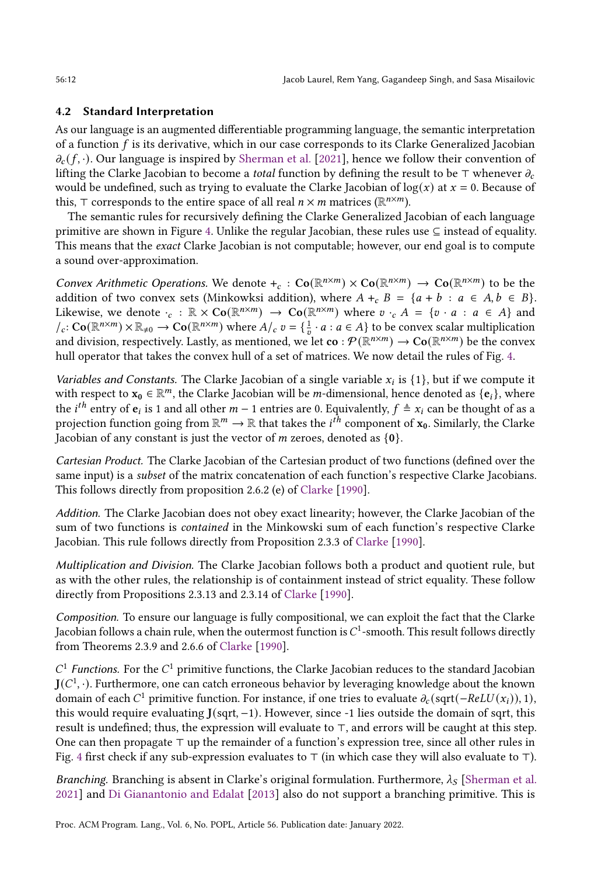# <span id="page-11-0"></span>4.2 Standard Interpretation

As our language is an augmented differentiable programming language, the semantic interpretation of a function  $f$  is its derivative, which in our case corresponds to its Clarke Generalized Jacobian  $\partial_c(f, \cdot)$ . Our language is inspired by [Sherman et al.](#page-29-0) [\[2021\]](#page-29-0), hence we follow their convention of lifting the Clarke Jacobian to become a *total* function by defining the result to be ⊤ whenever  $\partial_c$ would be undefined, such as trying to evaluate the Clarke Jacobian of  $log(x)$  at  $x = 0$ . Because of this, ⊤ corresponds to the entire space of all real  $n \times m$  matrices ( $\mathbb{R}^{n \times m}$ ).

The semantic rules for recursively defining the Clarke Generalized Jacobian of each language primitive are shown in Figure [4.](#page-10-0) Unlike the regular Jacobian, these rules use  $\subseteq$  instead of equality. This means that the exact Clarke Jacobian is not computable; however, our end goal is to compute a sound over-approximation.

Convex Arithmetic Operations. We denote  $+_c : \text{Co}(\mathbb{R}^{n \times m}) \times \text{Co}(\mathbb{R}^{n \times m}) \to \text{Co}(\mathbb{R}^{n \times m})$  to be the addition of two convex sets (Minkowksi addition), where  $A +_{c} B = \{a + b : a \in A, b \in B\}$ . Likewise, we denote  $\cdot_c : \mathbb{R} \times \text{Co}(\mathbb{R}^{n \times m}) \to \text{Co}(\mathbb{R}^{n \times m})$  where  $v \cdot_c A = \{v \cdot a : a \in A\}$  and  $\mathcal{A}_c$ :  $\text{Co}(\mathbb{R}^{n \times m}) \times \mathbb{R}_{\neq 0} \to \text{Co}(\mathbb{R}^{n \times m})$  where  $A/c$   $v = \{\frac{1}{v} \cdot a : a \in A\}$  to be convex scalar multiplication and division, respectively. Lastly, as mentioned, we let  $\mathbf{co}: \mathcal{P}(\mathbb{R}^{n \times m}) \to \mathbf{Co}(\mathbb{R}^{n \times m})$  be the convex hull operator that takes the convex hull of a set of matrices. We now detail the rules of Fig. [4.](#page-10-0)

Variables and Constants. The Clarke Jacobian of a single variable  $x_i$  is  $\{1\}$ , but if we compute it with respect to  $x_0 \in \mathbb{R}^m$ , the Clarke Jacobian will be *m*-dimensional, hence denoted as  $\{e_i\}$ , where the *i*<sup>th</sup> entry of  $e_i$  is 1 and all other  $m-1$  entries are 0. Equivalently,  $f \triangleq x_i$  can be thought of as a projection function going from  $\mathbb{R}^m\to\mathbb{R}$  that takes the  $i^{\hat{th}}$  component of  $\mathbf{x}_0$ . Similarly, the Clarke Jacobian of any constant is just the vector of  $m$  zeroes, denoted as  $\{0\}$ .

Cartesian Product. The Clarke Jacobian of the Cartesian product of two functions (defined over the same input) is a subset of the matrix concatenation of each function's respective Clarke Jacobians. This follows directly from proposition 2.6.2 (e) of [Clarke](#page-28-1) [\[1990\]](#page-28-1).

Addition. The Clarke Jacobian does not obey exact linearity; however, the Clarke Jacobian of the sum of two functions is contained in the Minkowski sum of each function's respective Clarke Jacobian. This rule follows directly from Proposition 2.3.3 of [Clarke](#page-28-1) [\[1990\]](#page-28-1).

Multiplication and Division. The Clarke Jacobian follows both a product and quotient rule, but as with the other rules, the relationship is of containment instead of strict equality. These follow directly from Propositions 2.3.13 and 2.3.14 of [Clarke](#page-28-1) [\[1990\]](#page-28-1).

Composition. To ensure our language is fully compositional, we can exploit the fact that the Clarke  $Jacobian follows a chain rule, when the outermost function is  $C^1$ -smooth. This result follows directly$ from Theorems 2.3.9 and 2.6.6 of [Clarke](#page-28-1) [\[1990\]](#page-28-1).

 $C<sup>1</sup>$  Functions. For the  $C<sup>1</sup>$  primitive functions, the Clarke Jacobian reduces to the standard Jacobian  $J(C<sup>1</sup>, \cdot)$ . Furthermore, one can catch erroneous behavior by leveraging knowledge about the known domain of each  $C^1$  primitive function. For instance, if one tries to evaluate  $\partial_c$  (sqrt( $-ReLU(x_i)$ ), 1), this would require evaluating J(sqrt, −1). However, since -1 lies outside the domain of sqrt, this result is undefined; thus, the expression will evaluate to ⊤, and errors will be caught at this step. One can then propagate ⊤ up the remainder of a function's expression tree, since all other rules in Fig. [4](#page-10-0) first check if any sub-expression evaluates to ⊤ (in which case they will also evaluate to ⊤).

Branching. Branching is absent in Clarke's original formulation. Furthermore,  $\lambda_S$  [\[Sherman et al.](#page-29-0) [2021\]](#page-29-0) and [Di Gianantonio and Edalat](#page-28-7) [\[2013\]](#page-28-7) also do not support a branching primitive. This is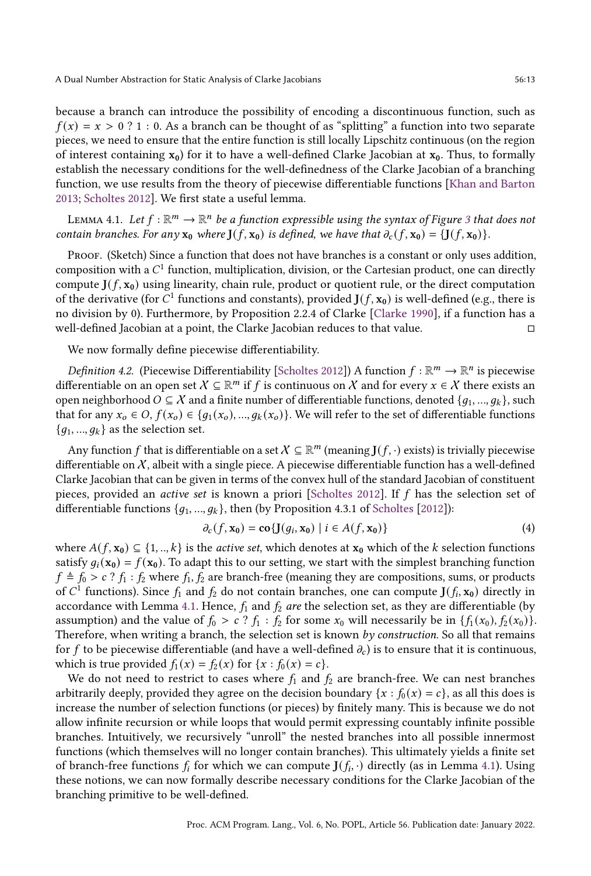because a branch can introduce the possibility of encoding a discontinuous function, such as  $f(x) = x > 0$  ? 1 : 0. As a branch can be thought of as "splitting" a function into two separate pieces, we need to ensure that the entire function is still locally Lipschitz continuous (on the region of interest containing  $x_0$ ) for it to have a well-defined Clarke Jacobian at  $x_0$ . Thus, to formally establish the necessary conditions for the well-definedness of the Clarke Jacobian of a branching function, we use results from the theory of piecewise differentiable functions [\[Khan and Barton](#page-28-6) [2013;](#page-28-6) [Scholtes](#page-29-16) [2012\]](#page-29-16). We first state a useful lemma.

<span id="page-12-0"></span>LEMMA 4.1. Let  $f : \mathbb{R}^m \to \mathbb{R}^n$  be a function expressible using the syntax of Figure [3](#page-9-1) that does not contain branches. For any  $x_0$  where  $J(f, x_0)$  is defined, we have that  $\partial_c(f, x_0) = \{J(f, x_0)\}\.$ 

PROOF. (Sketch) Since a function that does not have branches is a constant or only uses addition, composition with a  $C^1$  function, multiplication, division, or the Cartesian product, one can directly compute  $J(f, x_0)$  using linearity, chain rule, product or quotient rule, or the direct computation of the derivative (for  $C^1$  functions and constants), provided  $J(f, x_0)$  is well-defined (e.g., there is no division by 0). Furthermore, by Proposition 2.2.4 of Clarke [\[Clarke](#page-28-1) [1990\]](#page-28-1), if a function has a well-defined Jacobian at a point, the Clarke Jacobian reduces to that value. □

We now formally define piecewise differentiability.

Definition 4.2. (Piecewise Differentiability [\[Scholtes](#page-29-16) [2012\]](#page-29-16)) A function  $f : \mathbb{R}^m \to \mathbb{R}^n$  is piecewise differentiable on an open set  $X \subseteq \mathbb{R}^m$  if f is continuous on X and for every  $x \in X$  there exists an open neighborhood  $O \subseteq X$  and a finite number of differentiable functions, denoted  $\{g_1, ..., g_k\}$ , such that for any  $x_o \in O$ ,  $f(x_o) \in \{g_1(x_o), ..., g_k(x_o)\}\)$ . We will refer to the set of differentiable functions  ${q_1, ..., q_k}$  as the selection set.

Any function  $f$  that is differentiable on a set  $X \subseteq \mathbb{R}^m$  (meaning  $J(f, \cdot)$  exists) is trivially piecewise differentiable on  $X$ , albeit with a single piece. A piecewise differentiable function has a well-defined Clarke Jacobian that can be given in terms of the convex hull of the standard Jacobian of constituent pieces, provided an *active set* is known a priori [\[Scholtes](#page-29-16) [2012\]](#page-29-16). If  $f$  has the selection set of differentiable functions  $\{g_1, ..., g_k\}$ , then (by Proposition 4.3.1 of [Scholtes](#page-29-16) [\[2012\]](#page-29-16)):

<span id="page-12-1"></span>
$$
\partial_c(f, \mathbf{x}_0) = \mathbf{co} \{ \mathbf{J}(g_i, \mathbf{x}_0) \mid i \in A(f, \mathbf{x}_0) \}
$$
 (4)

where  $A(f, x_0) \subseteq \{1, ..., k\}$  is the *active set*, which denotes at  $x_0$  which of the k selection functions satisfy  $q_i(\mathbf{x}_0) = f(\mathbf{x}_0)$ . To adapt this to our setting, we start with the simplest branching function  $f \triangleq f_0 > c$ ?  $f_1 : f_2$  where  $f_1, f_2$  are branch-free (meaning they are compositions, sums, or products of  $C^1$  functions). Since  $f_1$  and  $f_2$  do not contain branches, one can compute  $J(f_i, x_0)$  directly in accordance with Lemma [4.1.](#page-12-0) Hence,  $f_1$  and  $f_2$  are the selection set, as they are differentiable (by assumption) and the value of  $f_0 > c$ ?  $f_1 : f_2$  for some  $x_0$  will necessarily be in  $\{f_1(x_0), f_2(x_0)\}$ . Therefore, when writing a branch, the selection set is known by construction. So all that remains for f to be piecewise differentiable (and have a well-defined  $\partial_c$ ) is to ensure that it is continuous, which is true provided  $f_1(x) = f_2(x)$  for  $\{x : f_0(x) = c\}.$ 

We do not need to restrict to cases where  $f_1$  and  $f_2$  are branch-free. We can nest branches arbitrarily deeply, provided they agree on the decision boundary  $\{x : f_0(x) = c\}$ , as all this does is increase the number of selection functions (or pieces) by finitely many. This is because we do not allow infinite recursion or while loops that would permit expressing countably infinite possible branches. Intuitively, we recursively "unroll" the nested branches into all possible innermost functions (which themselves will no longer contain branches). This ultimately yields a finite set of branch-free functions  $f_i$  for which we can compute  $J(f_i, \cdot)$  directly (as in Lemma [4.1\)](#page-12-0). Using these notions, we can now formally describe necessary conditions for the Clarke Jacobian of the branching primitive to be well-defined.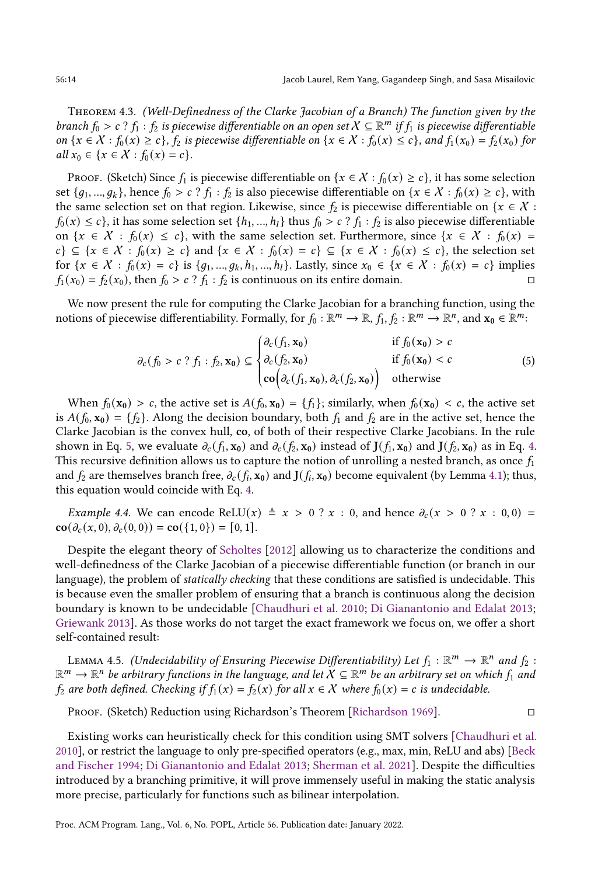Theorem 4.3. (Well-Definedness of the Clarke Jacobian of a Branch) The function given by the branch  $f_0 > c$  ?  $f_1$  :  $f_2$  is piecewise differentiable on an open set  $X \subseteq \mathbb{R}^m$  if  $f_1$  is piecewise differentiable on  $\{x \in X : f_0(x) \ge c\}$ ,  $f_2$  is piecewise differentiable on  $\{x \in X : f_0(x) \le c\}$ , and  $f_1(x_0) = f_2(x_0)$  for all  $x_0 \in \{x \in \mathcal{X} : f_0(x) = c\}.$ 

PROOF. (Sketch) Since  $f_1$  is piecewise differentiable on  $\{x \in X : f_0(x) \ge c\}$ , it has some selection set  $\{g_1, ..., g_k\}$ , hence  $f_0 > c$  ?  $f_1 : f_2$  is also piecewise differentiable on  $\{x \in \mathcal{X} : f_0(x) \geq c\}$ , with the same selection set on that region. Likewise, since  $f_2$  is piecewise differentiable on { $x \in \mathcal{X}$  :  $f_0(x) \leq c$ , it has some selection set  $\{h_1, ..., h_l\}$  thus  $f_0 > c$  ?  $f_1 : f_2$  is also piecewise differentiable on  $\{x \in X : f_0(x) \leq c\}$ , with the same selection set. Furthermore, since  $\{x \in X : f_0(x) =$  $c$ }  $\subseteq$  { $x \in X : f_0(x) \ge c$ } and { $x \in X : f_0(x) = c$ }  $\subseteq$  { $x \in X : f_0(x) \le c$ }, the selection set for  $\{x \in X : f_0(x) = c\}$  is  $\{g_1, ..., g_k, h_1, ..., h_l\}$ . Lastly, since  $x_0 \in \{x \in X : f_0(x) = c\}$  implies  $f_1(x_0) = f_2(x_0)$ , then  $f_0 > c$ ?  $f_1 : f_2$  is continuous on its entire domain.  $\Box$ 

We now present the rule for computing the Clarke Jacobian for a branching function, using the notions of piecewise differentiability. Formally, for  $f_0 : \mathbb{R}^m \to \mathbb{R}$ ,  $f_1, f_2 : \mathbb{R}^m \to \mathbb{R}^n$ , and  $\mathbf{x}_0 \in \mathbb{R}^m$ .

<span id="page-13-0"></span>
$$
\partial_c(f_0 > c ? f_1 : f_2, \mathbf{x}_0) \subseteq \begin{cases} \partial_c(f_1, \mathbf{x}_0) & \text{if } f_0(\mathbf{x}_0) > c \\ \partial_c(f_2, \mathbf{x}_0) & \text{if } f_0(\mathbf{x}_0) < c \\ \cos(\partial_c(f_1, \mathbf{x}_0), \partial_c(f_2, \mathbf{x}_0)) & \text{otherwise} \end{cases}
$$
(5)

When  $f_0(\mathbf{x_0}) > c$ , the active set is  $A(f_0, \mathbf{x_0}) = \{f_1\}$ ; similarly, when  $f_0(\mathbf{x_0}) < c$ , the active set is  $A(f_0, x_0) = \{f_2\}$ . Along the decision boundary, both  $f_1$  and  $f_2$  are in the active set, hence the Clarke Jacobian is the convex hull, co, of both of their respective Clarke Jacobians. In the rule shown in Eq. [5,](#page-13-0) we evaluate  $\partial_c(f_1, \mathbf{x_0})$  and  $\partial_c(f_2, \mathbf{x_0})$  instead of  $\mathbf{J}(f_1, \mathbf{x_0})$  and  $\mathbf{J}(f_2, \mathbf{x_0})$  as in Eq. [4.](#page-12-1) This recursive definition allows us to capture the notion of unrolling a nested branch, as once  $f_1$ and  $f_2$  are themselves branch free,  $\partial_c(f_i, \mathbf{x_0})$  and  $\mathbf{J}(f_i, \mathbf{x_0})$  become equivalent (by Lemma [4.1\)](#page-12-0); thus, this equation would coincide with Eq. [4.](#page-12-1)

*Example 4.4.* We can encode ReLU(x)  $\triangleq x > 0$  ?  $x : 0$ , and hence  $\partial_c(x > 0$  ?  $x : 0, 0) =$  $\mathbf{co}(\partial_c(x, 0), \partial_c(0, 0)) = \mathbf{co}(\{1, 0\}) = [0, 1].$ 

Despite the elegant theory of [Scholtes](#page-29-16) [\[2012\]](#page-29-16) allowing us to characterize the conditions and well-definedness of the Clarke Jacobian of a piecewise differentiable function (or branch in our language), the problem of statically checking that these conditions are satisfied is undecidable. This is because even the smaller problem of ensuring that a branch is continuous along the decision boundary is known to be undecidable [\[Chaudhuri et al.](#page-28-13) [2010;](#page-28-13) [Di Gianantonio and Edalat](#page-28-7) [2013;](#page-28-7) [Griewank](#page-28-14) [2013\]](#page-28-14). As those works do not target the exact framework we focus on, we offer a short self-contained result:

LEMMA 4.5. (Undecidability of Ensuring Piecewise Differentiability) Let  $f_1 : \mathbb{R}^m \to \mathbb{R}^n$  and  $f_2$  :  $\mathbb{R}^m \to \mathbb{R}^n$  be arbitrary functions in the language, and let  $X \subseteq \mathbb{R}^m$  be an arbitrary set on which  $f_1$  and  $f_2$  are both defined. Checking if  $f_1(x) = f_2(x)$  for all  $x \in X$  where  $f_0(x) = c$  is undecidable.

Proof. (Sketch) Reduction using Richardson's Theorem [\[Richardson](#page-29-17) [1969\]](#page-29-17). □

Existing works can heuristically check for this condition using SMT solvers [\[Chaudhuri et al.](#page-28-13) [2010\]](#page-28-13), or restrict the language to only pre-specified operators (e.g., max, min, ReLU and abs) [\[Beck](#page-27-3) [and Fischer](#page-27-3) [1994;](#page-27-3) [Di Gianantonio and Edalat](#page-28-7) [2013;](#page-28-7) [Sherman et al.](#page-29-0) [2021\]](#page-29-0). Despite the difficulties introduced by a branching primitive, it will prove immensely useful in making the static analysis more precise, particularly for functions such as bilinear interpolation.

Proc. ACM Program. Lang., Vol. 6, No. POPL, Article 56. Publication date: January 2022.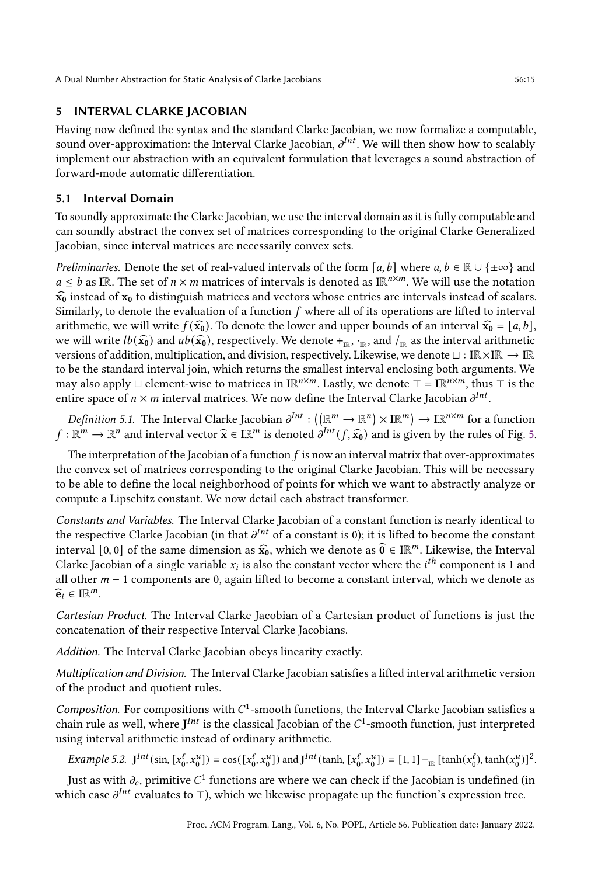# <span id="page-14-0"></span>5 INTERVAL CLARKE JACOBIAN

Having now defined the syntax and the standard Clarke Jacobian, we now formalize a computable, sound over-approximation: the Interval Clarke Jacobian,  $\partial^{Int}$ . We will then show how to scalably implement our abstraction with an equivalent formulation that leverages a sound abstraction of forward-mode automatic differentiation.

# 5.1 Interval Domain

To soundly approximate the Clarke Jacobian, we use the interval domain as it is fully computable and can soundly abstract the convex set of matrices corresponding to the original Clarke Generalized Jacobian, since interval matrices are necessarily convex sets.

*Preliminaries.* Denote the set of real-valued intervals of the form [ $a, b$ ] where  $a, b \in \mathbb{R} \cup \{\pm \infty\}$  and  $a \leq b$  as IR. The set of  $n \times m$  matrices of intervals is denoted as IR<sup>n $\times m$ </sup>. We will use the notation  $\widehat{x_0}$  instead of  $x_0$  to distinguish matrices and vectors whose entries are intervals instead of scalars. Similarly, to denote the evaluation of a function  $f$  where all of its operations are lifted to interval arithmetic, we will write  $f(\widehat{x_0})$ . To denote the lower and upper bounds of an interval  $\widehat{x_0} = [a, b]$ , we will write  $lb(\hat{x_0})$  and  $ub(\hat{x_0})$ , respectively. We denote  $+_{\text{IR}}$ ,  $\cdot_{\text{IR}}$ , and  $/_{\text{IR}}$  as the interval arithmetic various of addition multiplication and division respectively. Likewise, we denote  $\vdash \vdash \text{IP}$ versions of addition, multiplication, and division, respectively. Likewise, we denote ⊔ : IR×IR → IR to be the standard interval join, which returns the smallest interval enclosing both arguments. We may also apply ⊔ element-wise to matrices in I $\mathbb{R}^{n \times m}$ . Lastly, we denote  $\top = \mathbb{IR}^{n \times m}$ , thus  $\top$  is the entire space of  $n \times m$  interval matrices. We now define the Interval Clarke Jacobian  $\partial^{Int}$ .

*Definition 5.1.* The Interval Clarke Jacobian  $\partial^{Int}: ((\mathbb{R}^m \to \mathbb{R}^n) \times \mathbb{IR}^m) \to \mathbb{IR}^{n \times m}$  for a function  $f: \mathbb{R}^m \to \mathbb{R}^n$  and interval vector  $\widehat{\mathbf{x}} \in \mathbb{IR}^m$  is denoted  $\partial^{Int}(f, \widehat{\mathbf{x}_0})$  and is given by the rules of Fig. [5.](#page-15-0)

The interpretation of the Jacobian of a function  $f$  is now an interval matrix that over-approximates the convex set of matrices corresponding to the original Clarke Jacobian. This will be necessary to be able to define the local neighborhood of points for which we want to abstractly analyze or compute a Lipschitz constant. We now detail each abstract transformer.

Constants and Variables. The Interval Clarke Jacobian of a constant function is nearly identical to the respective Clarke Jacobian (in that  $\partial^{Int}$  of a constant is 0); it is lifted to become the constant interval [0, 0] of the same dimension as  $\hat{x}_0$ , which we denote as  $\hat{0} \in \mathbb{R}^m$ . Likewise, the Interval Clarke Jacobian of a single variable  $x_i$  is also the constant vector where the *i*<sup>th</sup> component is 1 and all other  $m - 1$  components are 0, again lifted to become a constant interval, which we denote as  $\widehat{\mathbf{e}}_i \in \mathbb{IR}^m$ .

Cartesian Product. The Interval Clarke Jacobian of a Cartesian product of functions is just the concatenation of their respective Interval Clarke Jacobians.

Addition. The Interval Clarke Jacobian obeys linearity exactly.

Multiplication and Division. The Interval Clarke Jacobian satisfies a lifted interval arithmetic version of the product and quotient rules.

Composition. For compositions with  $C^1$ -smooth functions, the Interval Clarke Jacobian satisfies a chain rule as well, where  $J^{Int}$  is the classical Jacobian of the  $C^1$ -smooth function, just interpreted using interval arithmetic instead of ordinary arithmetic.

*Example 5.2.*  $J^{Int}(\sin, [x_0^{\ell}, x_0^u]) = \cos([x_0^{\ell}, x_0^u])$  and  $J^{Int}(\tanh, [x_0^{\ell}, x_0^u]) = [1, 1] -_{\mathbb{R}} [\tanh(x_0^{\ell}), \tanh(x_0^u)]^2$ .

Just as with  $\partial_c$ , primitive  $C^1$  functions are where we can check if the Jacobian is undefined (in which case  $\partial^{Int}$  evaluates to ⊤), which we likewise propagate up the function's expression tree.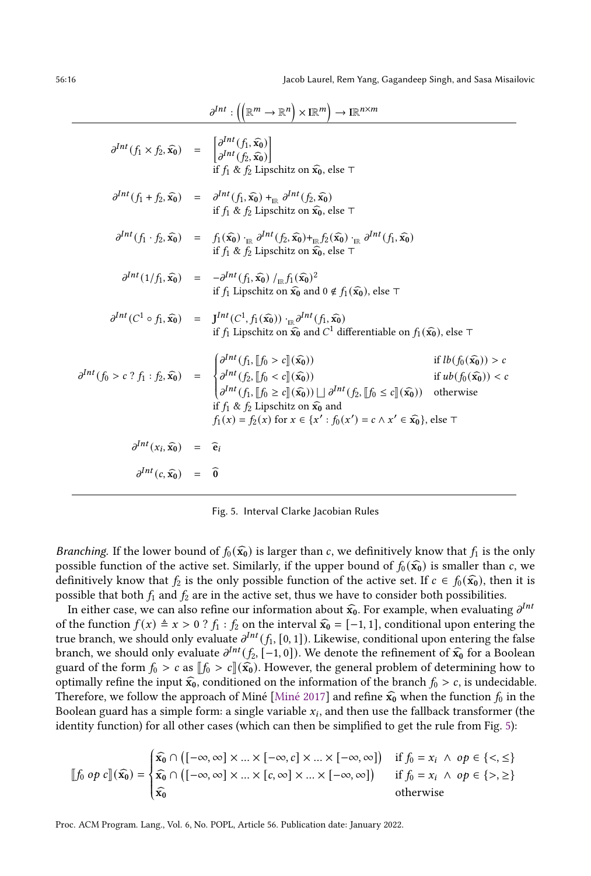<span id="page-15-0"></span>

|                                                                                                                                                | $\partial^{Int}: ((\mathbb{R}^m \to \mathbb{R}^n) \times \mathbb{R}^m) \to \mathbb{R}^{n \times m}$                                                                                                                                                                             |                                                                    |
|------------------------------------------------------------------------------------------------------------------------------------------------|---------------------------------------------------------------------------------------------------------------------------------------------------------------------------------------------------------------------------------------------------------------------------------|--------------------------------------------------------------------|
| $\partial^{Int}(f_1 \times f_2, \widehat{x_0}) = \left  \frac{\partial^{Int}(f_1, \widehat{x_0})}{\partial^{Int}(f_2, \widehat{x_0})} \right $ | if $f_1$ & $f_2$ Lipschitz on $\widehat{x_0}$ , else $\top$                                                                                                                                                                                                                     |                                                                    |
|                                                                                                                                                | $\partial^{Int}(f_1+f_2,\widehat{\mathbf{x_0}}) \quad = \quad \partial^{Int}(f_1,\widehat{\mathbf{x_0}}) \,+_{\textrm{IR}} \partial^{Int}(f_2,\widehat{\mathbf{x_0}})$<br>if $f_1 \& f_2$ Lipschitz on $\widehat{x_0}$ , else $\top$                                            |                                                                    |
|                                                                                                                                                | $\partial^{Int}(f_1 \cdot f_2, \widehat{x_0}) = f_1(\widehat{x_0}) \cdot_{\mathbb{R}} \partial^{Int}(f_2, \widehat{x_0}) +_{\mathbb{R}} f_2(\widehat{x_0}) \cdot_{\mathbb{R}} \partial^{Int}(f_1, \widehat{x_0})$<br>if $f_1 \& f_2$ Lipschitz on $\widehat{x_0}$ , else $\top$ |                                                                    |
|                                                                                                                                                | $\partial^{Int} (1/f_1, \widehat{\mathbf{x_0}}) = -\partial^{Int} (f_1, \widehat{\mathbf{x_0}}) /_{\text{TR}} f_1(\widehat{\mathbf{x_0}})^2$<br>if $f_1$ Lipschitz on $\widehat{x_0}$ and $0 \notin f_1(\widehat{x_0})$ , else $\top$                                           |                                                                    |
|                                                                                                                                                | $\partial^{Int}(C^1 \circ f_1, \widehat{x_0}) = J^{Int}(C^1, f_1(\widehat{x_0})) \cdot_{\mathbb{R}} \partial^{Int}(f_1, \widehat{x_0})$<br>if $f_1$ Lipschitz on $\widehat{\mathbf{x}_0}$ and $C^1$ differentiable on $f_1(\widehat{\mathbf{x}_0})$ , else $\top$               |                                                                    |
|                                                                                                                                                | if $f_1 \& f_2$ Lipschitz on $\widehat{x_0}$ and<br>$f_1(x) = f_2(x)$ for $x \in \{x' : f_0(x') = c \land x' \in \widehat{x_0}\}\)$ , else $\top$                                                                                                                               | if $lb(f_0(\widehat{x_0})) > c$<br>if $ub(f_0(\widehat{x_0})) < c$ |
| $\partial^{Int}(x_i,\widehat{x_0}) = \widehat{e}_i$                                                                                            |                                                                                                                                                                                                                                                                                 |                                                                    |
| $\partial^{Int}(c,\hat{x_0}) = \hat{0}$                                                                                                        |                                                                                                                                                                                                                                                                                 |                                                                    |

 $\overline{1}$ 

Fig. 5. Interval Clarke Jacobian Rules

*Branching.* If the lower bound of  $f_0(\hat{x_0})$  is larger than c, we definitively know that  $f_1$  is the only possible function of the active set. Similarly, if the upper bound of  $f_0(\widehat{x_0})$  is smaller than c, we definitively know that  $f_2$  is the only possible function of the active set. If  $c \in f_0(\widehat{x_0})$ , then it is possible that both  $f_1$  and  $f_2$  are in the active set, thus we have to consider both possibilities.

In either case, we can also refine our information about  $\hat{x}_0$ . For example, when evaluating  $\partial^{Int}$ <br>the function  $f(x) = x > 0.2$  f  $\cdot$  f on the interval  $\hat{x} = \begin{bmatrix} 1 & 1 & 1 \end{bmatrix}$  conditional upon origing the of the function  $f(x) \triangleq x > 0$  ?  $f_1 : f_2$  on the interval  $\hat{x_0} = [-1, 1]$ , conditional upon entering the true branch, we should only evaluate  $\partial^{Int}(f_1, [0, 1])$ . Likewise, conditional upon entering the false branch, we should only evaluate  $\partial^{Int}(f_2, [-1, 0])$ . We denote the refinement of  $\hat{x_0}$  for a Boolean guard of the form  $f > \cos \left( f \right) > \sin \left( \hat{x} \right)$ . However, the general problem of determining how to guard of the form  $f_0 > c$  as  $[[f_0 > c]](\widehat{x_0})$ . However, the general problem of determining how to optimally refine the input  $\hat{x_0}$ , conditioned on the information of the branch  $f_0 > c$ , is undecidable. Therefore, we follow the approach of Miné [\[Miné](#page-29-18) [2017\]](#page-29-18) and refine  $\hat{x_0}$  when the function  $f_0$  in the Boolean guard has a simple form: a single variable  $x_i$ , and then use the fallback transformer (the identity function) for all other cases (which can then be simplified to get the rule from Fig. [5\)](#page-15-0):

$$
\llbracket f_0 \text{ op } c \rrbracket (\widehat{\mathbf{x}_0}) = \begin{cases} \widehat{\mathbf{x}_0} \cap \left( [-\infty, \infty] \times ... \times [-\infty, c] \times ... \times [-\infty, \infty] \right) & \text{if } f_0 = x_i \land \text{ op } \in \{ <, \leq \} \\ \widehat{\mathbf{x}_0} \cap \left( [-\infty, \infty] \times ... \times [c, \infty] \times ... \times [-\infty, \infty] \right) & \text{if } f_0 = x_i \land \text{ op } \in \{ >, \geq \} \\ \widehat{\mathbf{x}_0} & \text{otherwise} \end{cases}
$$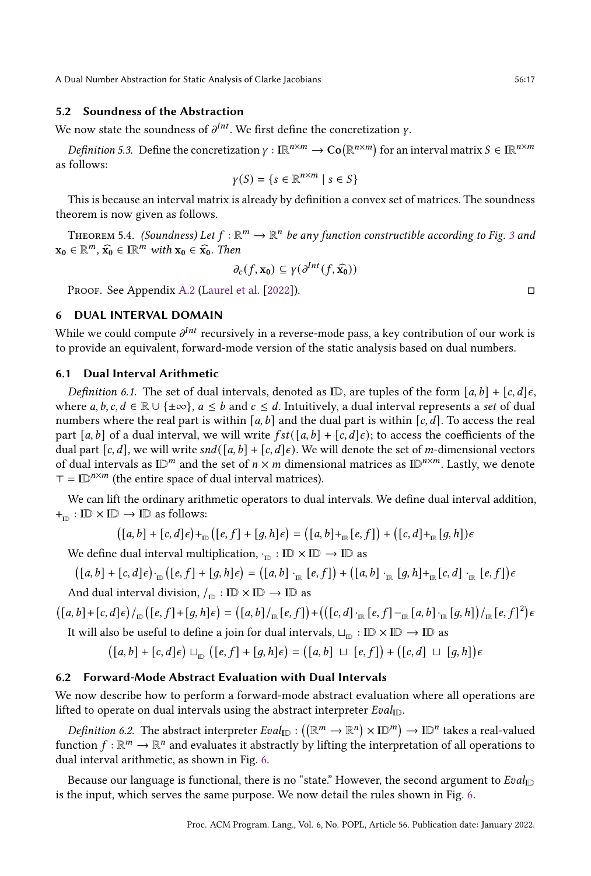#### 5.2 Soundness of the Abstraction

We now state the soundness of  $\partial^{Int}$ . We first define the concretization v.

*Definition 5.3.* Define the concretization  $\gamma : \mathbb{R}^{n \times m} \to \mathbb{C}\mathfrak{o}(\mathbb{R}^{n \times m})$  for an interval matrix  $S \in \mathbb{R}^{n \times m}$ as follows:

$$
\gamma(S) = \{ s \in \mathbb{R}^{n \times m} \mid s \in S \}
$$

This is because an interval matrix is already by definition a convex set of matrices. The soundness theorem is now given as follows.

THEOREM 5.4. (Soundness) Let  $f : \mathbb{R}^m \to \mathbb{R}^n$  be any function constructible according to Fig. [3](#page-9-1) and  $\mathbf{x}_0 \in \mathbb{R}^m$ ,  $\widehat{\mathbf{x}_0} \in \mathbb{IR}^m$  with  $\mathbf{x}_0 \in \widehat{\mathbf{x}_0}$ . Then

$$
\partial_c(f, \mathbf{x_0}) \subseteq \gamma(\partial^{Int}(f, \widehat{\mathbf{x_0}}))
$$

Proof. See Appendix [A.2](#page--1-1) [\(Laurel et al.](#page-29-19) [\[2022\]](#page-29-19)). □

## <span id="page-16-0"></span>6 DUAL INTERVAL DOMAIN

While we could compute  $\partial^{Int}$  recursively in a reverse-mode pass, a key contribution of our work is to provide an equivalent, forward-mode version of the static analysis based on dual numbers.

#### <span id="page-16-1"></span>6.1 Dual Interval Arithmetic

Definition 6.1. The set of dual intervals, denoted as ID, are tuples of the form  $[a, b] + [c, d] \epsilon$ , where  $a, b, c, d \in \mathbb{R} \cup \{\pm \infty\}, a \leq b$  and  $c \leq d$ . Intuitively, a dual interval represents a set of dual numbers where the real part is within [a, b] and the dual part is within  $[c, d]$ . To access the real part [a, b] of a dual interval, we will write  $fst([a, b] + [c, d] \epsilon)$ ; to access the coefficients of the dual part  $[c, d]$ , we will write  $snd([a, b] + [c, d] \epsilon)$ . We will denote the set of *m*-dimensional vectors of dual intervals as  $\mathbb{D}^m$  and the set of  $n \times m$  dimensional matrices as  $\mathbb{D}^{n \times m}$ . Lastly, we denote  $T = ID^{n \times m}$  (the entire space of dual interval matrices).

We can lift the ordinary arithmetic operators to dual intervals. We define dual interval addition,  $+_{\text{ID}} : \text{ID} \times \text{ID} \rightarrow \text{ID}$  as follows:

$$
([a,b]+[c,d]\epsilon) +_{\mathbb{D}}([e,f]+[g,h]\epsilon) = ([a,b]+_{\mathbb{R}}[e,f]) + ([c,d]+_{\mathbb{R}}[g,h])\epsilon
$$

We define dual interval multiplication,  $\cdot_{\mathbb{D}} : \mathbb{ID} \times \mathbb{ID} \to \mathbb{ID}$  as

$$
([a,b]+[c,d]\epsilon) \cdot_{\mathbb{D}} ([e,f]+[g,h]\epsilon) = ([a,b] \cdot_{\mathbb{R}} [e,f]) + ([a,b] \cdot_{\mathbb{R}} [g,h]+_{\mathbb{R}} [c,d] \cdot_{\mathbb{R}} [e,f]) \epsilon
$$

And dual interval division,  $/_{\mathbb{D}} : \mathbb{ID} \times \mathbb{ID} \to \mathbb{ID}$  as

$$
([a,b]+[c,d]\epsilon)/_{\mathbb{D}}([e,f]+[g,h]\epsilon)=([a,b]/_{\mathbb{R}}[e,f])+(([c,d]\cdot_{\mathbb{R}}[e,f]-_{\mathbb{R}}[a,b]\cdot_{\mathbb{R}}[g,h])/_{\mathbb{R}}[e,f]^2)\epsilon
$$

It will also be useful to define a join for dual intervals,  $\sqcup_{\mathbb{D}} : \mathbb{D} \times \mathbb{D} \to \mathbb{D}$  as

$$
([a, b] + [c, d] \epsilon) \sqcup_{\mathbb{D}} ([e, f] + [g, h] \epsilon) = ([a, b] \sqcup [e, f]) + ([c, d] \sqcup [g, h]) \epsilon
$$

#### 6.2 Forward-Mode Abstract Evaluation with Dual Intervals

We now describe how to perform a forward-mode abstract evaluation where all operations are lifted to operate on dual intervals using the abstract interpreter  $Eval_{ID}$ .

*Definition 6.2.* The abstract interpreter  $Eval_{\mathbb{ID}} : ((\mathbb{R}^m \to \mathbb{R}^n) \times \mathbb{ID}^m) \to \mathbb{ID}^n$  takes a real-valued function  $f : \mathbb{R}^m \to \mathbb{R}^n$  and evaluates it abstractly by lifting the interpretation of all operations to dual interval arithmetic, as shown in Fig. [6.](#page-17-0)

Because our language is functional, there is no "state." However, the second argument to  $Eval_{ID}$ is the input, which serves the same purpose. We now detail the rules shown in Fig. [6.](#page-17-0)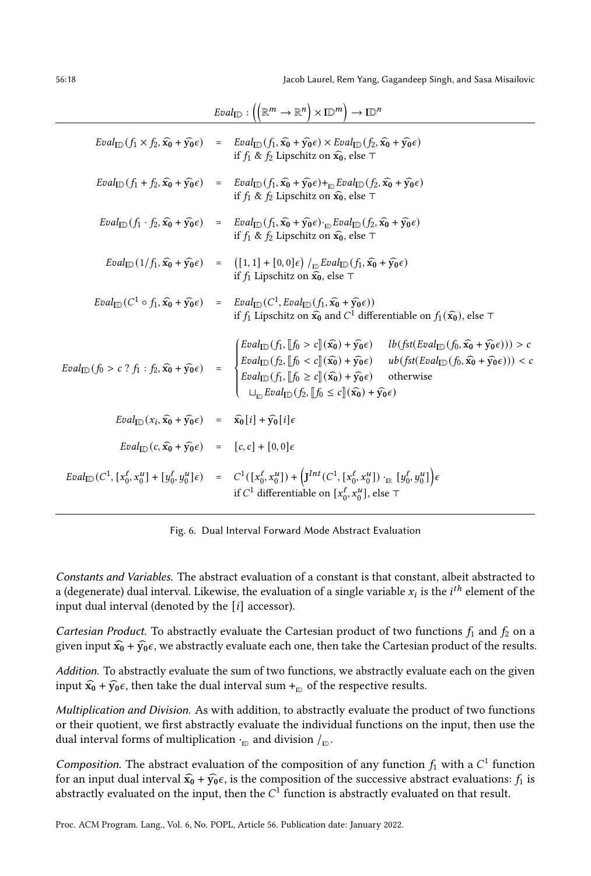56:18 Jacob Laurel, Rem Yang, Gagandeep Singh, and Sasa Misailovic

<span id="page-17-0"></span>

|                                                                                         | $\text{Eval}_{\mathbb{ID}} : ((\mathbb{R}^m \to \mathbb{R}^n) \times \mathbb{ID}^m) \to \mathbb{ID}^n$                                                                                                                                                                                                                                                                                                                                                                                                                                                                                                                                                                              |  |  |  |  |  |
|-----------------------------------------------------------------------------------------|-------------------------------------------------------------------------------------------------------------------------------------------------------------------------------------------------------------------------------------------------------------------------------------------------------------------------------------------------------------------------------------------------------------------------------------------------------------------------------------------------------------------------------------------------------------------------------------------------------------------------------------------------------------------------------------|--|--|--|--|--|
|                                                                                         | $\text{Eval}_{\text{ID}}(f_1 \times f_2, \hat{x_0} + \hat{y_0} \epsilon) = \text{Eval}_{\text{ID}}(f_1, \hat{x_0} + \hat{y_0} \epsilon) \times \text{Eval}_{\text{ID}}(f_2, \hat{x_0} + \hat{y_0} \epsilon)$<br>if $f_1 \& f_2$ Lipschitz on $\widehat{x_0}$ , else $\top$                                                                                                                                                                                                                                                                                                                                                                                                          |  |  |  |  |  |
|                                                                                         | $\textit{Eval}_{\text{ID}}(f_1+f_2,\widehat{\mathbf{x_0}}+\widehat{\mathbf{y_0}}\epsilon) \quad = \quad \textit{Eval}_{\text{ID}}(f_1,\widehat{\mathbf{x_0}}+\widehat{\mathbf{y_0}}\epsilon)+_{\text{ID}}\textit{Eval}_{\text{ID}}(f_2,\widehat{\mathbf{x_0}}+\widehat{\mathbf{y_0}}\epsilon)$<br>if $f_1$ & $f_2$ Lipschitz on $\widehat{\mathbf{x}_0}$ , else $\top$                                                                                                                                                                                                                                                                                                              |  |  |  |  |  |
|                                                                                         | $\textit{Eval}_{\text{ID}}(f_1\cdot f_2, \widehat{\mathbf{x_0}} + \widehat{\mathbf{y_0}}\epsilon) \quad = \quad \textit{Eval}_{\text{ID}}(f_1, \widehat{\mathbf{x_0}} + \widehat{\mathbf{y_0}}\epsilon) \cdot_{\text{ID}} \textit{Eval}_{\text{ID}}(f_2, \widehat{\mathbf{x_0}} + \widehat{\mathbf{y_0}}\epsilon)$<br>if $f_1 \& f_2$ Lipschitz on $\widehat{x_0}$ , else $\top$                                                                                                                                                                                                                                                                                                    |  |  |  |  |  |
|                                                                                         | $\text{Eval}_{\text{ID}}(1/f_1, \widehat{\mathbf{x}_0} + \widehat{\mathbf{y}_0} \epsilon) = (\big[1, 1\big] + \big[0, 0\big] \epsilon\big) /_{\text{ID}} \text{Eval}_{\text{ID}}(f_1, \widehat{\mathbf{x}_0} + \widehat{\mathbf{y}_0} \epsilon)$<br>if $f_1$ Lipschitz on $\widehat{x_0}$ , else $\top$                                                                                                                                                                                                                                                                                                                                                                             |  |  |  |  |  |
|                                                                                         | $\text{Eval}_{\text{ID}}(C^1 \circ f_1, \widehat{x_0} + \widehat{y_0} \epsilon) = \text{Eval}_{\text{ID}}(C^1, \text{Eval}_{\text{ID}}(f_1, \widehat{x_0} + \widehat{y_0} \epsilon))$<br>if $f_1$ Lipschitz on $\widehat{x_0}$ and $C^1$ differentiable on $f_1(\widehat{x_0})$ , else $\top$                                                                                                                                                                                                                                                                                                                                                                                       |  |  |  |  |  |
|                                                                                         | $\mathcal{L}[\text{Eval}_{ID}(f_1, \mathcal{b}] \circ c \mathcal{b}](\hat{\mathbf{x}_0}) + \hat{\mathbf{y}_0} \epsilon) \quad \text{lb}(\text{fst}(\text{Eval}_{ID}(f_0, \hat{\mathbf{x}_0} + \hat{\mathbf{y}_0} \epsilon))) > c$<br>$\text{Eval}_{\text{ID}}(f_0 > c^2 f_1 : f_2, \widehat{x_0} + \widehat{y_0} \epsilon) = \begin{cases} \text{Eval}_{\text{ID}}(f_2, \llbracket f_0 < c \rrbracket(\widehat{x_0}) + \widehat{y_0} \epsilon) & \text{ub}(fst(\text{Eval}_{\text{ID}}(f_0, \widehat{x_0} + \widehat{y_0} \epsilon))) < c \\ \text{Eval}_{\text{ID}}(f_1, \llbracket f_0 \geq c \rrbracket(\widehat{x_0}) + \widehat{y_0} \epsilon) & \text{otherwise} \end{cases}$ |  |  |  |  |  |
| $Eval_{ID}(x_i, \hat{x_0} + \hat{y_0} \epsilon) = \hat{x_0}[i] + \hat{y_0}[i] \epsilon$ |                                                                                                                                                                                                                                                                                                                                                                                                                                                                                                                                                                                                                                                                                     |  |  |  |  |  |
| $Eval_{\text{ID}}(c, \hat{x_0} + \hat{y_0} \epsilon) = [c, c] + [0, 0] \epsilon$        |                                                                                                                                                                                                                                                                                                                                                                                                                                                                                                                                                                                                                                                                                     |  |  |  |  |  |
|                                                                                         | $\label{eq:2.1} \begin{array}{lll} \displaystyle \mathit{Eval}_{\mathrm{ID}}(C^1, [x_0^\ell, x_0^u] + [y_0^\ell, y_0^u] \epsilon) & = & \displaystyle C^1([x_0^\ell, x_0^u]) + \left(J^{Int}(C^1, [x_0^\ell, x_0^u]) \cdot_{\mathbb{R}} [y_0^\ell, y_0^u] \right) \epsilon \end{array}$<br>if $C^1$ differentiable on $[x_0^{\ell}, x_0^{\mu}]$ , else $\top$                                                                                                                                                                                                                                                                                                                       |  |  |  |  |  |

Fig. 6. Dual Interval Forward Mode Abstract Evaluation

Constants and Variables. The abstract evaluation of a constant is that constant, albeit abstracted to a (degenerate) dual interval. Likewise, the evaluation of a single variable  $x_i$  is the *i*<sup>th</sup> element of the input dual interval (denoted by the  $[i]$  accessor).

Cartesian Product. To abstractly evaluate the Cartesian product of two functions  $f_1$  and  $f_2$  on a given input  $\hat{x_0} + \hat{y_0}\epsilon$ , we abstractly evaluate each one, then take the Cartesian product of the results.

Addition. To abstractly evaluate the sum of two functions, we abstractly evaluate each on the given input  $\widehat{x_0} + \widehat{y_0} \epsilon$ , then take the dual interval sum  $+_{\text{ID}}$  of the respective results.

Multiplication and Division. As with addition, to abstractly evaluate the product of two functions or their quotient, we first abstractly evaluate the individual functions on the input, then use the dual interval forms of multiplication  $\cdot_\mathrm{ID}$  and division  $/_\mathrm{ID}$ 

Composition. The abstract evaluation of the composition of any function  $f_1$  with a  $C^1$  function for an input dual interval  $\hat{x_0} + \hat{y_0}\epsilon$ , is the composition of the successive abstract evaluations:  $f_1$  is abstractly evaluated on the input, then the  $C^1$  function is abstractly evaluated on that result.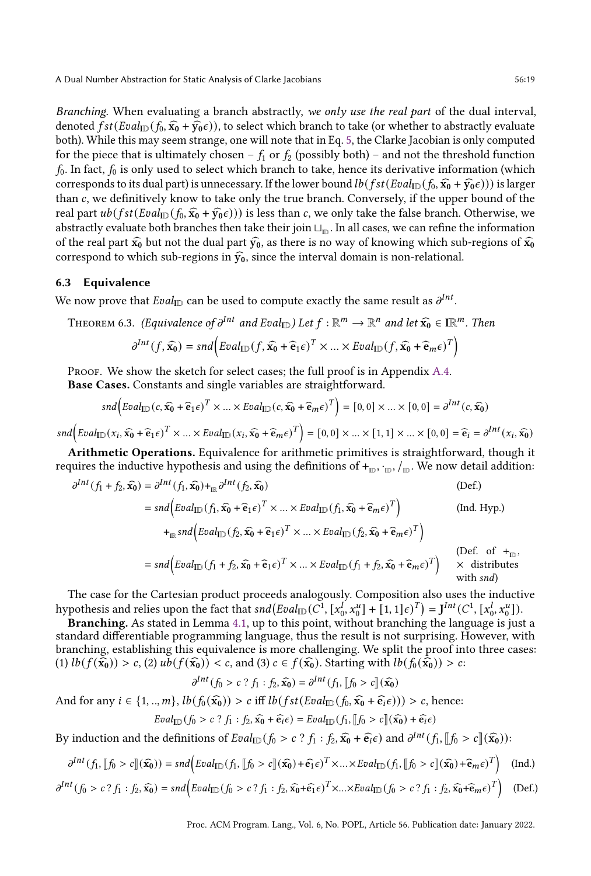Branching. When evaluating a branch abstractly, we only use the real part of the dual interval, denoted  $fst(Eval_{ID}(f_0, \hat{x_0} + \hat{y_0}\epsilon))$ , to select which branch to take (or whether to abstractly evaluate both). While this may seem strange, one will note that in Eq. [5,](#page-13-0) the Clarke Jacobian is only computed for the piece that is ultimately chosen –  $f_1$  or  $f_2$  (possibly both) – and not the threshold function  $f_0$ . In fact,  $f_0$  is only used to select which branch to take, hence its derivative information (which corresponds to its dual part) is unnecessary. If the lower bound  $lb(fst(Eval_{ID}(f_0, \hat{x_0} + \hat{y_0}\epsilon)))$  is larger than  $c$ , we definitively know to take only the true branch. Conversely, if the upper bound of the real part  $ub(fst(Eval_{\text{ID}}(f_0, \hat{x_0} + \hat{y_0}\epsilon)))$  is less than c, we only take the false branch. Otherwise, we abstractly evaluate both branches then take their join  $\sqcup_{\rm m}$  . In all cases, we can refine the information of the real part  $\hat{x_0}$  but not the dual part  $\hat{y_0}$ , as there is no way of knowing which sub-regions of  $\hat{x_0}$ correspond to which sub-regions in  $\hat{y}_0$ , since the interval domain is non-relational.

#### <span id="page-18-0"></span>6.3 Equivalence

We now prove that  $Eval_{\text{ID}}$  can be used to compute exactly the same result as  $\partial^{Int}$ .

<span id="page-18-1"></span>THEOREM 6.3. (Equivalence of  $\partial^{Int}$  and  $Eval_{ID}$ ) Let  $f : \mathbb{R}^m \to \mathbb{R}^n$  and let  $\widehat{\mathbf{x}_0} \in \mathbb{IR}^m$ . Then

$$
\partial^{Int}(f,\widehat{\mathbf{x_0}}) = \mathit{snd}\Big( \mathit{Eval}_{\mathbb{ID}}(f,\widehat{\mathbf{x_0}} + \widehat{\mathbf{e}}_1 \epsilon)^T \times ... \times \mathit{Eval}_{\mathbb{ID}}(f,\widehat{\mathbf{x_0}} + \widehat{\mathbf{e}}_m \epsilon)^T \Big)
$$

PROOF. We show the sketch for select cases; the full proof is in Appendix [A.4.](#page--1-2) Base Cases. Constants and single variables are straightforward.

$$
snd \left(Eval_{\mathbb{ID}}(c, \widehat{x_0} + \widehat{e}_1 \epsilon)^T \times ... \times eval_{\mathbb{ID}}(c, \widehat{x_0} + \widehat{e}_m \epsilon)^T \right) = [0, 0] \times ... \times [0, 0] = \partial^{Int}(c, \widehat{x_0})
$$

 $\mathfrak{End}\Big( \text{Eval}_{\mathbb{ID}}(x_i, \widehat{x_0} + \widehat{\mathbf{e}}_1 \epsilon)^T \times ... \times \text{Eval}_{\mathbb{ID}}(x_i, \widehat{x_0} + \widehat{\mathbf{e}}_m \epsilon)^T \Big) = [0, 0] \times ... \times [1, 1] \times ... \times [0, 0] = \widehat{\mathbf{e}}_i = \partial^{Int}(x_i, \widehat{x_0})$ 

Arithmetic Operations. Equivalence for arithmetic primitives is straightforward, though it requires the inductive hypothesis and using the definitions of  $+_{D}$ ,  $+_{D}$ ,  $\sqrt{D}$ . We now detail addition:

$$
\partial^{Int}(f_1 + f_2, \widehat{x_0}) = \partial^{Int}(f_1, \widehat{x_0}) +_{\mathbb{IR}} \partial^{Int}(f_2, \widehat{x_0})
$$
\n
$$
= \operatorname{snd} \Big( \operatorname{Eval}_{\mathbb{ID}}(f_1, \widehat{x_0} + \widehat{e}_1 \epsilon)^T \times \dots \times \operatorname{Eval}_{\mathbb{ID}}(f_1, \widehat{x_0} + \widehat{e}_m \epsilon)^T \Big) \qquad (\text{Ind. Hyp.})
$$
\n
$$
+_{\mathbb{IR}} \operatorname{snd} \Big( \operatorname{Eval}_{\mathbb{ID}}(f_2, \widehat{x_0} + \widehat{e}_1 \epsilon)^T \times \dots \times \operatorname{Eval}_{\mathbb{ID}}(f_2, \widehat{x_0} + \widehat{e}_m \epsilon)^T \Big) \qquad (\text{Def. of } +_{\mathbb{ID}})
$$
\n
$$
= \operatorname{snd} \Big( \operatorname{Eval}_{\mathbb{ID}}(f_1 + f_2, \widehat{x_0} + \widehat{e}_1 \epsilon)^T \times \dots \times \operatorname{Eval}_{\mathbb{ID}}(f_1 + f_2, \widehat{x_0} + \widehat{e}_m \epsilon)^T \Big) \qquad (\text{Def. of } +_{\mathbb{ID}})
$$
\n
$$
= \operatorname{snd} \Big( \operatorname{Eval}_{\mathbb{ID}}(f_1 + f_2, \widehat{x_0} + \widehat{e}_1 \epsilon)^T \times \dots \times \operatorname{Eval}_{\mathbb{ID}}(f_1 + f_2, \widehat{x_0} + \widehat{e}_m \epsilon)^T \Big) \qquad \begin{array}{c} \text{(Def. of } +_{\mathbb{ID}}) \\ \times \text{ distributes } \\ \text{with } \operatorname{snd} \end{array}
$$

The case for the Cartesian product proceeds analogously. Composition also uses the inductive hypothesis and relies upon the fact that  $\textit{snd}(\textit{Eval}_{\text{ID}}(C^1, [x_0^I, x_0^u] + [1, 1]\epsilon)^T) = \mathbf{J}^{Int}(C^1, [x_0^I, x_0^u])$ .

Branching. As stated in Lemma [4.1,](#page-12-0) up to this point, without branching the language is just a standard differentiable programming language, thus the result is not surprising. However, with branching, establishing this equivalence is more challenging. We split the proof into three cases: (1)  $lb(f(\widehat{x_0})) > c$ , (2)  $ub(f(\widehat{x_0})) < c$ , and (3)  $c \in f(\widehat{x_0})$ . Starting with  $lb(f_0(\widehat{x_0})) > c$ :

$$
\partial^{Int}(f_0 > c \circ f_1 : f_2, \widehat{\mathbf{x}_0}) = \partial^{Int}(f_1, \llbracket f_0 > c \rrbracket(\widehat{\mathbf{x}_0})
$$

And for any  $i \in \{1, ..., m\}$ ,  $lb(f_0(\hat{x_0})) > c$  iff  $lb(fst(Eval_{ID}(f_0, \hat{x_0} + \hat{e_i}\epsilon))) > c$ , hence:

$$
Eval_{\mathbb{ID}}(f_0 > c \ ? \ f_1 : f_2, \widehat{\mathbf{x}_0} + \widehat{\mathbf{e}_i} \epsilon) = \text{Eval}_{\mathbb{ID}}(f_1, [\![f_0 > c]\!](\widehat{\mathbf{x}_0}) + \widehat{\mathbf{e}_i} \epsilon)
$$

By induction and the definitions of  $Eval_{ID}(f_0 > c ? f_1 : f_2, \widehat{x_0} + \widehat{e_i} \epsilon)$  and  $\partial^{Int}(f_1, [f_0 > c](\widehat{x_0}))$ :

$$
\partial^{Int}(f_1, [\![f_0 > c]\!](\widehat{x_0})) = \operatorname{snd} \Big( \operatorname{Eval}_{\mathbb{ID}}(f_1, [\![f_0 > c]\!](\widehat{x_0}) + \widehat{\varepsilon_1} \varepsilon)^T \times \dots \times \operatorname{Eval}_{\mathbb{ID}}(f_1, [\![f_0 > c]\!](\widehat{x_0}) + \widehat{\varepsilon}_m \varepsilon)^T \Big) \text{ (Ind.)}
$$

$$
\partial^{Int}(f_0 > c^2 f_1 : f_2, \widehat{x_0}) = \operatorname{snd} \Big( \operatorname{Eval}_{\mathbb{ID}}(f_0 > c^2 f_1 : f_2, \widehat{x_0} + \widehat{\epsilon_1} \epsilon)^T \times \dots \times \operatorname{Eval}_{\mathbb{ID}}(f_0 > c^2 f_1 : f_2, \widehat{x_0} + \widehat{\epsilon}_m \epsilon)^T \Big) \quad \text{(Def.)}
$$

,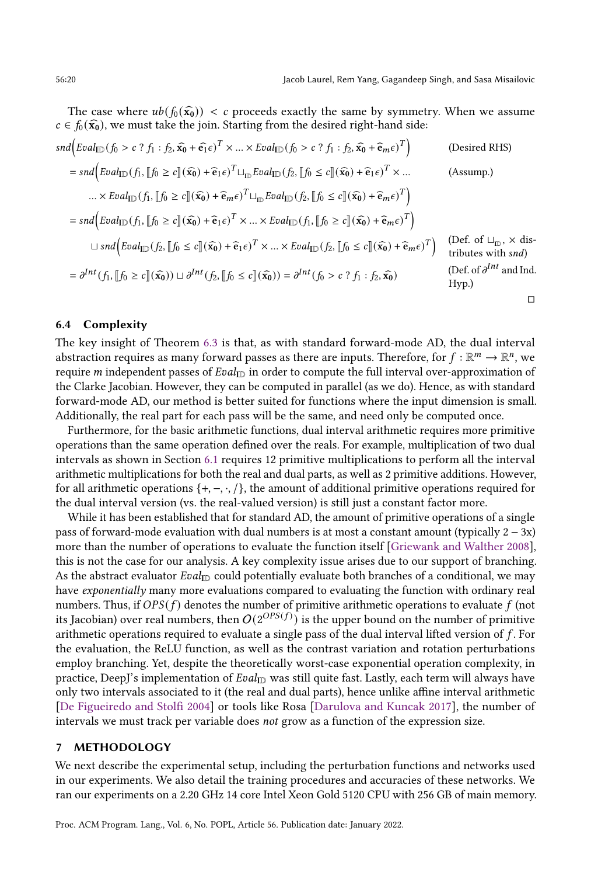The case where  $ub(f_0(\hat{x}_0)) < c$  proceeds exactly the same by symmetry. When we assume  $c \in f_0(\widehat{\mathbf{x}_0})$ , we must take the join. Starting from the desired right-hand side:

$$
snd\left(Eval_{ID}(f_{0} > c ? f_{1} : f_{2}, \widehat{x_{0}} + \widehat{e_{1}} \epsilon)^{T} \times ... \times Real_{ID}(f_{0} > c ? f_{1} : f_{2}, \widehat{x_{0}} + \widehat{e}_{m} \epsilon)^{T}\right) \qquad \text{(Desired RHS)}
$$
\n
$$
= sad\left(Eval_{ID}(f_{1}, [f_{0} \ge c](\widehat{x_{0}}) + \widehat{e}_{1} \epsilon)^{T} \cup_{ID}Eval_{ID}(f_{2}, [f_{0} \le c](\widehat{x_{0}}) + \widehat{e}_{1} \epsilon)^{T} \times ... \times Edu_{ID}(f_{1}, [f_{0} \ge c](\widehat{x_{0}}) + \widehat{e}_{m} \epsilon)^{T} \cup_{ID}Eval_{ID}(f_{2}, [f_{0} \le c](\widehat{x_{0}}) + \widehat{e}_{m} \epsilon)^{T}\right)
$$
\n
$$
= sad\left(Eval_{ID}(f_{1}, [f_{0} \ge c](\widehat{x_{0}}) + \widehat{e}_{1} \epsilon)^{T} \times ... \times Real_{ID}(f_{1}, [f_{0} \ge c](\widehat{x_{0}}) + \widehat{e}_{m} \epsilon)^{T}\right)
$$
\n
$$
\cup \text{ }snd\left(Eval_{ID}(f_{2}, [f_{0} \le c](\widehat{x_{0}}) + \widehat{e}_{1} \epsilon)^{T} \times ... \times eval_{ID}(f_{2}, [f_{0} \le c](\widehat{x_{0}}) + \widehat{e}_{m} \epsilon)^{T}\right) \qquad \text{(Def. of } \sqcup_{ID}, \times \text{ dis-}
$$
\n
$$
= \partial^{Int}(f_{1}, [f_{0} \ge c](\widehat{x_{0}})) \cup \partial^{Int}(f_{2}, [f_{0} \le c](\widehat{x_{0}})) = \partial^{Int}(f_{0} > c ? f_{1} : f_{2}, \widehat{x_{0}}) \qquad \text{(Def. of } \partial^{Int} \text{ and Ind.}
$$
\n
$$
Hyp.)
$$

## <span id="page-19-0"></span>6.4 Complexity

The key insight of Theorem [6.3](#page-18-1) is that, as with standard forward-mode AD, the dual interval abstraction requires as many forward passes as there are inputs. Therefore, for  $f : \mathbb{R}^m \to \mathbb{R}^n$ , we require *m* independent passes of  $Eval_{ID}$  in order to compute the full interval over-approximation of the Clarke Jacobian. However, they can be computed in parallel (as we do). Hence, as with standard forward-mode AD, our method is better suited for functions where the input dimension is small. Additionally, the real part for each pass will be the same, and need only be computed once.

Furthermore, for the basic arithmetic functions, dual interval arithmetic requires more primitive operations than the same operation defined over the reals. For example, multiplication of two dual intervals as shown in Section [6.1](#page-16-1) requires 12 primitive multiplications to perform all the interval arithmetic multiplications for both the real and dual parts, as well as 2 primitive additions. However, for all arithmetic operations  $\{+, -, \cdot, / \}$ , the amount of additional primitive operations required for the dual interval version (vs. the real-valued version) is still just a constant factor more.

While it has been established that for standard AD, the amount of primitive operations of a single pass of forward-mode evaluation with dual numbers is at most a constant amount (typically  $2 - 3x$ ) more than the number of operations to evaluate the function itself [\[Griewank and Walther](#page-28-15) [2008\]](#page-28-15), this is not the case for our analysis. A key complexity issue arises due to our support of branching. As the abstract evaluator  $Eval_{ID}$  could potentially evaluate both branches of a conditional, we may have exponentially many more evaluations compared to evaluating the function with ordinary real numbers. Thus, if  $OPS(f)$  denotes the number of primitive arithmetic operations to evaluate  $f$  (not its Jacobian) over real numbers, then  $O(2^{OPS(f)})$  is the upper bound on the number of primitive arithmetic operations required to evaluate a single pass of the dual interval lifted version of  $f$ . For the evaluation, the ReLU function, as well as the contrast variation and rotation perturbations employ branching. Yet, despite the theoretically worst-case exponential operation complexity, in practice, DeepJ's implementation of  $Eval_{ID}$  was still quite fast. Lastly, each term will always have only two intervals associated to it (the real and dual parts), hence unlike affine interval arithmetic [\[De Figueiredo and Stolfi](#page-28-16) [2004\]](#page-28-16) or tools like Rosa [\[Darulova and Kuncak](#page-28-17) [2017\]](#page-28-17), the number of intervals we must track per variable does not grow as a function of the expression size.

## 7 METHODOLOGY

We next describe the experimental setup, including the perturbation functions and networks used in our experiments. We also detail the training procedures and accuracies of these networks. We ran our experiments on a 2.20 GHz 14 core Intel Xeon Gold 5120 CPU with 256 GB of main memory.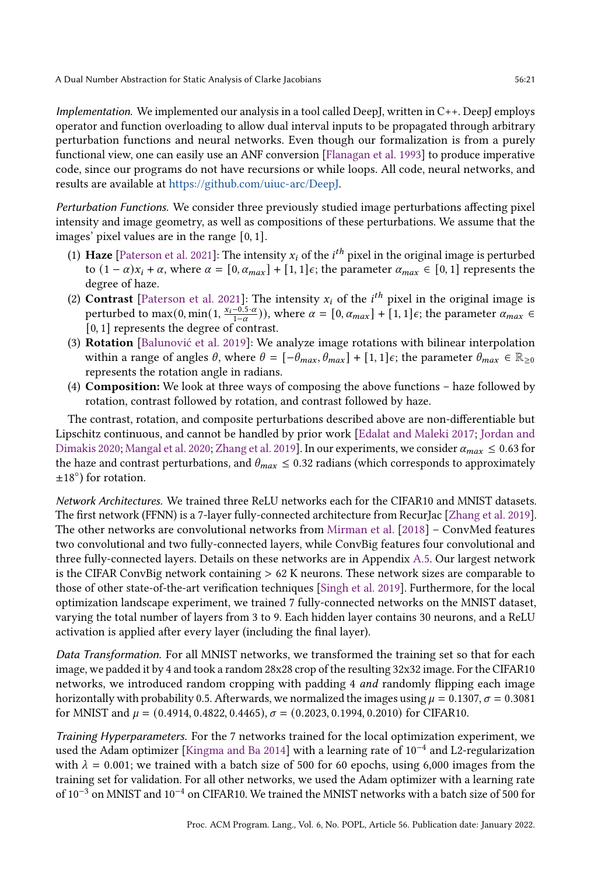Implementation. We implemented our analysis in a tool called DeepJ, written in C++. DeepJ employs operator and function overloading to allow dual interval inputs to be propagated through arbitrary perturbation functions and neural networks. Even though our formalization is from a purely functional view, one can easily use an ANF conversion [\[Flanagan et al.](#page-28-18) [1993\]](#page-28-18) to produce imperative code, since our programs do not have recursions or while loops. All code, neural networks, and results are available at [https://github.com/uiuc-arc/DeepJ.](https://github.com/uiuc-arc/DeepJ)

Perturbation Functions. We consider three previously studied image perturbations affecting pixel intensity and image geometry, as well as compositions of these perturbations. We assume that the images' pixel values are in the range [0, 1].

- (1) Haze [\[Paterson et al.](#page-29-15) [2021\]](#page-29-15): The intensity  $x_i$  of the  $i^{th}$  pixel in the original image is perturbed to  $(1 - \alpha)x_i + \alpha$ , where  $\alpha = [0, \alpha_{max}] + [1, 1]\epsilon$ ; the parameter  $\alpha_{max} \in [0, 1]$  represents the degree of haze.
- (2) **Contrast** [\[Paterson et al.](#page-29-15) [2021\]](#page-29-15): The intensity  $x_i$  of the *i*<sup>th</sup> pixel in the original image is perturbed to max(0, min(1,  $\frac{x_i-0.5\cdot a}{1-\alpha}$ )), where  $\alpha = [0, \alpha_{max}] + [1, 1]\epsilon$ ; the parameter  $\alpha_{max} \in$ [0, 1] represents the degree of contrast.
- (3) Rotation [\[Balunović et al.](#page-27-2) [2019\]](#page-27-2): We analyze image rotations with bilinear interpolation within a range of angles  $\theta$ , where  $\theta = [-\theta_{max}, \theta_{max}] + [1, 1]\epsilon$ ; the parameter  $\theta_{max} \in \mathbb{R}_{\geq 0}$ represents the rotation angle in radians.
- (4) Composition: We look at three ways of composing the above functions haze followed by rotation, contrast followed by rotation, and contrast followed by haze.

The contrast, rotation, and composite perturbations described above are non-differentiable but Lipschitz continuous, and cannot be handled by prior work [\[Edalat and Maleki](#page-28-4) [2017;](#page-28-4) [Jordan and](#page-28-5) [Dimakis](#page-28-5) [2020;](#page-29-4) [Mangal et al.](#page-29-4) 2020; [Zhang et al.](#page-29-3) [2019\]](#page-29-3). In our experiments, we consider  $\alpha_{max} \le 0.63$  for the haze and contrast perturbations, and  $\theta_{max} \leq 0.32$  radians (which corresponds to approximately ±18◦ ) for rotation.

Network Architectures. We trained three ReLU networks each for the CIFAR10 and MNIST datasets. The first network (FFNN) is a 7-layer fully-connected architecture from RecurJac [\[Zhang et al.](#page-29-3) [2019\]](#page-29-3). The other networks are convolutional networks from [Mirman et al.](#page-29-11) [\[2018\]](#page-29-11) – ConvMed features two convolutional and two fully-connected layers, while ConvBig features four convolutional and three fully-connected layers. Details on these networks are in Appendix [A.5.](#page--1-3) Our largest network is the CIFAR ConvBig network containing > 62 K neurons. These network sizes are comparable to those of other state-of-the-art verification techniques [\[Singh et al.](#page-29-8) [2019\]](#page-29-8). Furthermore, for the local optimization landscape experiment, we trained 7 fully-connected networks on the MNIST dataset, varying the total number of layers from 3 to 9. Each hidden layer contains 30 neurons, and a ReLU activation is applied after every layer (including the final layer).

Data Transformation. For all MNIST networks, we transformed the training set so that for each image, we padded it by 4 and took a random 28x28 crop of the resulting 32x32 image. For the CIFAR10 networks, we introduced random cropping with padding 4 and randomly flipping each image horizontally with probability 0.5. Afterwards, we normalized the images using  $\mu = 0.1307$ ,  $\sigma = 0.3081$ for MNIST and  $\mu = (0.4914, 0.4822, 0.4465), \sigma = (0.2023, 0.1994, 0.2010)$  for CIFAR10.

Training Hyperparameters. For the 7 networks trained for the local optimization experiment, we used the Adam optimizer [\[Kingma and Ba](#page-28-19) [2014\]](#page-28-19) with a learning rate of 10−<sup>4</sup> and L2-regularization with  $\lambda = 0.001$ ; we trained with a batch size of 500 for 60 epochs, using 6,000 images from the training set for validation. For all other networks, we used the Adam optimizer with a learning rate of 10−<sup>3</sup> on MNIST and 10−<sup>4</sup> on CIFAR10. We trained the MNIST networks with a batch size of 500 for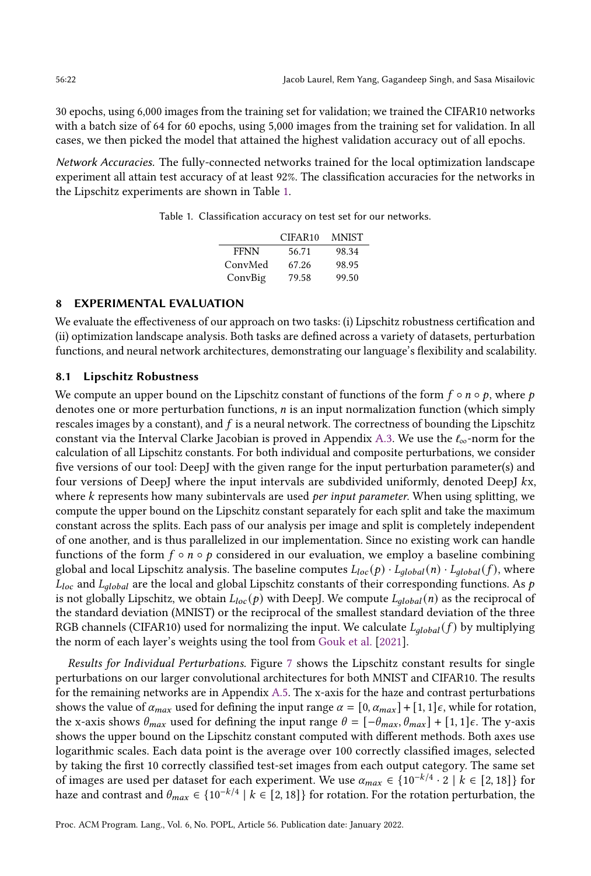30 epochs, using 6,000 images from the training set for validation; we trained the CIFAR10 networks with a batch size of 64 for 60 epochs, using 5,000 images from the training set for validation. In all cases, we then picked the model that attained the highest validation accuracy out of all epochs.

<span id="page-21-1"></span>Network Accuracies. The fully-connected networks trained for the local optimization landscape experiment all attain test accuracy of at least 92%. The classification accuracies for the networks in the Lipschitz experiments are shown in Table [1.](#page-21-1)

Table 1. Classification accuracy on test set for our networks.

|             | CIFAR <sub>10</sub> | MNIST |
|-------------|---------------------|-------|
| <b>FFNN</b> | 56.71               | 98.34 |
| ConvMed     | 67.26               | 98.95 |
| ConvBig     | 79.58               | 99.50 |

#### <span id="page-21-0"></span>8 EXPERIMENTAL EVALUATION

We evaluate the effectiveness of our approach on two tasks: (i) Lipschitz robustness certification and (ii) optimization landscape analysis. Both tasks are defined across a variety of datasets, perturbation functions, and neural network architectures, demonstrating our language's flexibility and scalability.

#### <span id="page-21-2"></span>8.1 Lipschitz Robustness

We compute an upper bound on the Lipschitz constant of functions of the form  $f \circ n \circ p$ , where p denotes one or more perturbation functions, *n* is an input normalization function (which simply rescales images by a constant), and  $f$  is a neural network. The correctness of bounding the Lipschitz constant via the Interval Clarke Jacobian is proved in Appendix [A.3.](#page--1-4) We use the  $\ell_{\infty}$ -norm for the calculation of all Lipschitz constants. For both individual and composite perturbations, we consider five versions of our tool: DeepJ with the given range for the input perturbation parameter(s) and four versions of DeepJ where the input intervals are subdivided uniformly, denoted DeepJ kx, where  $k$  represents how many subintervals are used *per input parameter*. When using splitting, we compute the upper bound on the Lipschitz constant separately for each split and take the maximum constant across the splits. Each pass of our analysis per image and split is completely independent of one another, and is thus parallelized in our implementation. Since no existing work can handle functions of the form  $f \circ n \circ p$  considered in our evaluation, we employ a baseline combining global and local Lipschitz analysis. The baseline computes  $L_{loc}(p) \cdot L_{global}(n) \cdot L_{global}(f)$ , where  $L_{loc}$  and  $L_{global}$  are the local and global Lipschitz constants of their corresponding functions. As p is not globally Lipschitz, we obtain  $L_{loc}(p)$  with DeepJ. We compute  $L_{global}(n)$  as the reciprocal of the standard deviation (MNIST) or the reciprocal of the smallest standard deviation of the three RGB channels (CIFAR10) used for normalizing the input. We calculate  $L_{global}(f)$  by multiplying the norm of each layer's weights using the tool from [Gouk et al.](#page-28-12) [\[2021\]](#page-28-12).

Results for Individual Perturbations. Figure [7](#page-22-0) shows the Lipschitz constant results for single perturbations on our larger convolutional architectures for both MNIST and CIFAR10. The results for the remaining networks are in Appendix [A.5.](#page--1-3) The x-axis for the haze and contrast perturbations shows the value of  $\alpha_{max}$  used for defining the input range  $\alpha = [0, \alpha_{max}] + [1, 1]\epsilon$ , while for rotation, the x-axis shows  $\theta_{max}$  used for defining the input range  $\theta = [-\theta_{max}, \theta_{max}] + [1, 1]\epsilon$ . The y-axis shows the upper bound on the Lipschitz constant computed with different methods. Both axes use logarithmic scales. Each data point is the average over 100 correctly classified images, selected by taking the first 10 correctly classified test-set images from each output category. The same set of images are used per dataset for each experiment. We use  $\alpha_{max} \in \{10^{-k/4} \cdot 2 \mid k \in [2, 18]\}$  for haze and contrast and  $\theta_{max} \in \{10^{-k/4} \mid k \in [2, 18]\}$  for rotation. For the rotation perturbation, the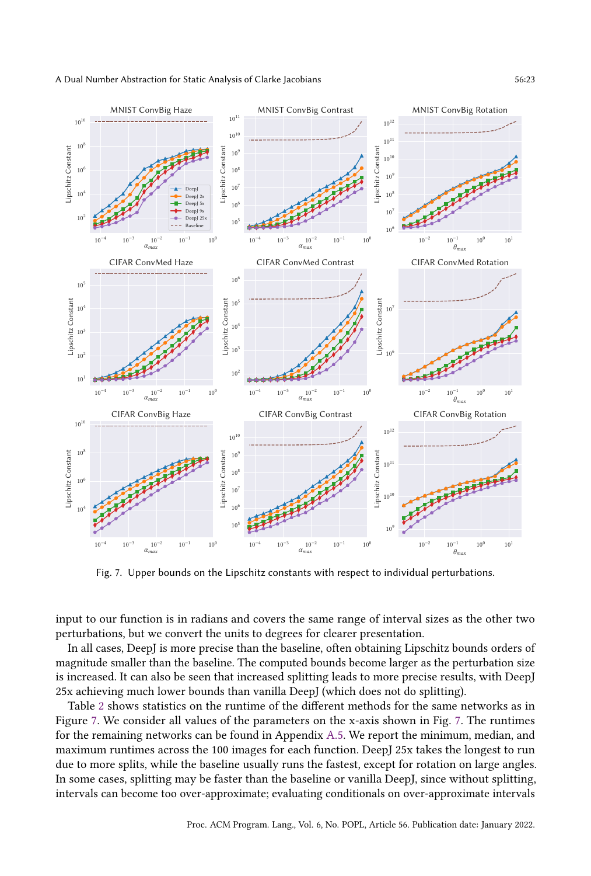<span id="page-22-0"></span>

Fig. 7. Upper bounds on the Lipschitz constants with respect to individual perturbations.

input to our function is in radians and covers the same range of interval sizes as the other two perturbations, but we convert the units to degrees for clearer presentation.

In all cases, DeepJ is more precise than the baseline, often obtaining Lipschitz bounds orders of magnitude smaller than the baseline. The computed bounds become larger as the perturbation size is increased. It can also be seen that increased splitting leads to more precise results, with DeepJ 25x achieving much lower bounds than vanilla DeepJ (which does not do splitting).

Table [2](#page-23-0) shows statistics on the runtime of the different methods for the same networks as in Figure [7.](#page-22-0) We consider all values of the parameters on the x-axis shown in Fig. [7.](#page-22-0) The runtimes for the remaining networks can be found in Appendix [A.5.](#page--1-3) We report the minimum, median, and maximum runtimes across the 100 images for each function. DeepJ 25x takes the longest to run due to more splits, while the baseline usually runs the fastest, except for rotation on large angles. In some cases, splitting may be faster than the baseline or vanilla DeepJ, since without splitting, intervals can become too over-approximate; evaluating conditionals on over-approximate intervals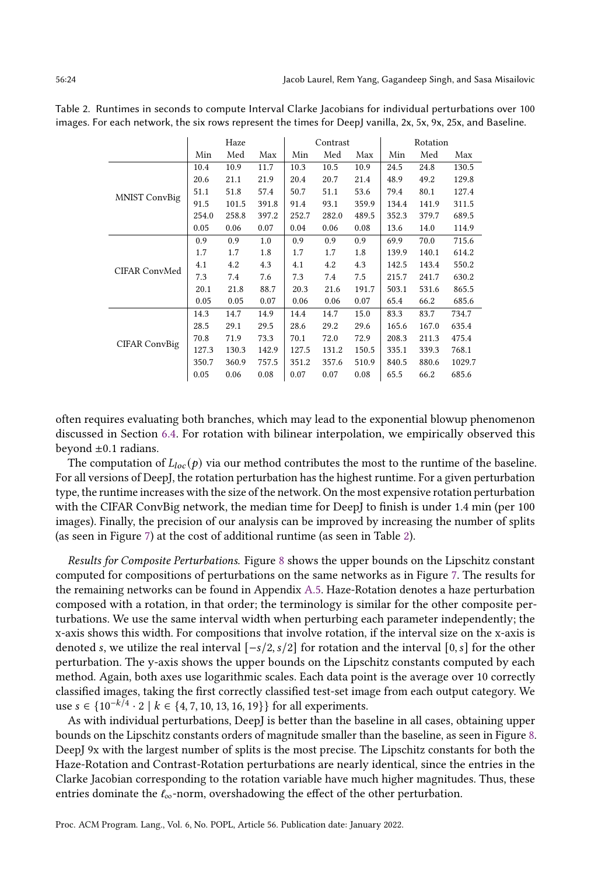|                      | Haze  |       |       | Contrast |       |       | Rotation |       |        |
|----------------------|-------|-------|-------|----------|-------|-------|----------|-------|--------|
|                      | Min   | Med   | Max   | Min      | Med   | Max   | Min      | Med   | Max    |
|                      | 10.4  | 10.9  | 11.7  | 10.3     | 10.5  | 10.9  | 24.5     | 24.8  | 130.5  |
|                      | 20.6  | 21.1  | 21.9  | 20.4     | 20.7  | 21.4  | 48.9     | 49.2  | 129.8  |
| MNIST ConvBig        | 51.1  | 51.8  | 57.4  | 50.7     | 51.1  | 53.6  | 79.4     | 80.1  | 127.4  |
|                      | 91.5  | 101.5 | 391.8 | 91.4     | 93.1  | 359.9 | 134.4    | 141.9 | 311.5  |
|                      | 254.0 | 258.8 | 397.2 | 252.7    | 282.0 | 489.5 | 352.3    | 379.7 | 689.5  |
|                      | 0.05  | 0.06  | 0.07  | 0.04     | 0.06  | 0.08  | 13.6     | 14.0  | 114.9  |
|                      | 0.9   | 0.9   | 1.0   | 0.9      | 0.9   | 0.9   | 69.9     | 70.0  | 715.6  |
|                      | 1.7   | 1.7   | 1.8   | 1.7      | 1.7   | 1.8   | 139.9    | 140.1 | 614.2  |
| CIFAR ConvMed        | 4.1   | 4.2   | 4.3   | 4.1      | 4.2   | 4.3   | 142.5    | 143.4 | 550.2  |
|                      | 7.3   | 7.4   | 7.6   | 7.3      | 7.4   | 7.5   | 215.7    | 241.7 | 630.2  |
|                      | 20.1  | 21.8  | 88.7  | 20.3     | 21.6  | 191.7 | 503.1    | 531.6 | 865.5  |
|                      | 0.05  | 0.05  | 0.07  | 0.06     | 0.06  | 0.07  | 65.4     | 66.2  | 685.6  |
| <b>CIFAR ConvBig</b> | 14.3  | 14.7  | 14.9  | 14.4     | 14.7  | 15.0  | 83.3     | 83.7  | 734.7  |
|                      | 28.5  | 29.1  | 29.5  | 28.6     | 29.2  | 29.6  | 165.6    | 167.0 | 635.4  |
|                      | 70.8  | 71.9  | 73.3  | 70.1     | 72.0  | 72.9  | 208.3    | 211.3 | 475.4  |
|                      | 127.3 | 130.3 | 142.9 | 127.5    | 131.2 | 150.5 | 335.1    | 339.3 | 768.1  |
|                      | 350.7 | 360.9 | 757.5 | 351.2    | 357.6 | 510.9 | 840.5    | 880.6 | 1029.7 |
|                      | 0.05  | 0.06  | 0.08  | 0.07     | 0.07  | 0.08  | 65.5     | 66.2  | 685.6  |

<span id="page-23-0"></span>Table 2. Runtimes in seconds to compute Interval Clarke Jacobians for individual perturbations over 100 images. For each network, the six rows represent the times for DeepJ vanilla, 2x, 5x, 9x, 25x, and Baseline.

often requires evaluating both branches, which may lead to the exponential blowup phenomenon discussed in Section [6.4.](#page-19-0) For rotation with bilinear interpolation, we empirically observed this beyond  $\pm 0.1$  radians.

The computation of  $L_{loc}(p)$  via our method contributes the most to the runtime of the baseline. For all versions of DeepJ, the rotation perturbation has the highest runtime. For a given perturbation type, the runtime increases with the size of the network. On the most expensive rotation perturbation with the CIFAR ConvBig network, the median time for DeepJ to finish is under 1.4 min (per 100) images). Finally, the precision of our analysis can be improved by increasing the number of splits (as seen in Figure [7\)](#page-22-0) at the cost of additional runtime (as seen in Table [2\)](#page-23-0).

Results for Composite Perturbations. Figure [8](#page-24-0) shows the upper bounds on the Lipschitz constant computed for compositions of perturbations on the same networks as in Figure [7.](#page-22-0) The results for the remaining networks can be found in Appendix [A.5.](#page--1-3) Haze-Rotation denotes a haze perturbation composed with a rotation, in that order; the terminology is similar for the other composite perturbations. We use the same interval width when perturbing each parameter independently; the x-axis shows this width. For compositions that involve rotation, if the interval size on the x-axis is denoted s, we utilize the real interval  $[-s/2, s/2]$  for rotation and the interval  $[0, s]$  for the other perturbation. The y-axis shows the upper bounds on the Lipschitz constants computed by each method. Again, both axes use logarithmic scales. Each data point is the average over 10 correctly classified images, taking the first correctly classified test-set image from each output category. We use  $s \in \{10^{-k/4} \cdot 2 \mid k \in \{4, 7, 10, 13, 16, 19\}\}\$  for all experiments.

As with individual perturbations, DeepJ is better than the baseline in all cases, obtaining upper bounds on the Lipschitz constants orders of magnitude smaller than the baseline, as seen in Figure [8.](#page-24-0) DeepJ 9x with the largest number of splits is the most precise. The Lipschitz constants for both the Haze-Rotation and Contrast-Rotation perturbations are nearly identical, since the entries in the Clarke Jacobian corresponding to the rotation variable have much higher magnitudes. Thus, these entries dominate the  $\ell_{\infty}$ -norm, overshadowing the effect of the other perturbation.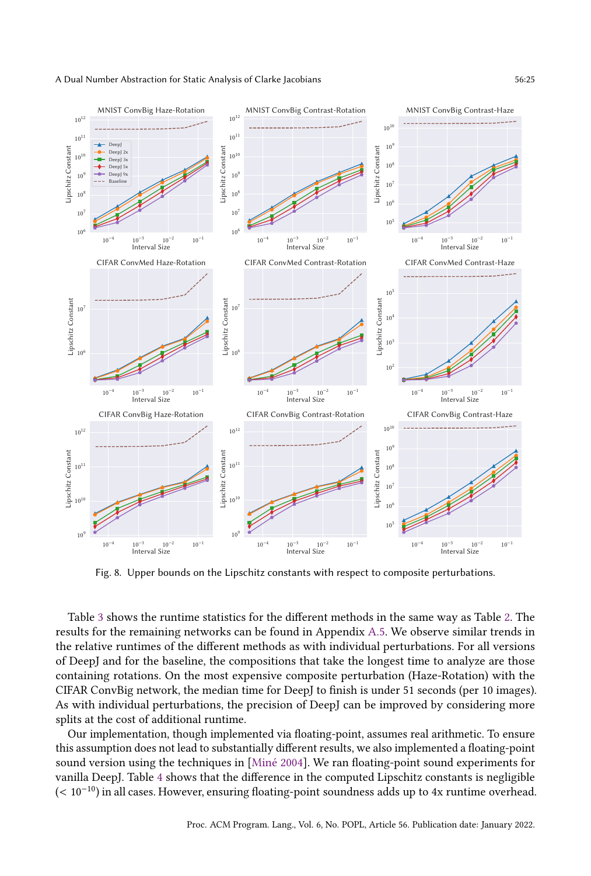<span id="page-24-0"></span>

Fig. 8. Upper bounds on the Lipschitz constants with respect to composite perturbations.

Table [3](#page-25-0) shows the runtime statistics for the different methods in the same way as Table [2.](#page-23-0) The results for the remaining networks can be found in Appendix [A.5.](#page--1-3) We observe similar trends in the relative runtimes of the different methods as with individual perturbations. For all versions of DeepJ and for the baseline, the compositions that take the longest time to analyze are those containing rotations. On the most expensive composite perturbation (Haze-Rotation) with the CIFAR ConvBig network, the median time for DeepJ to finish is under 51 seconds (per 10 images). As with individual perturbations, the precision of DeepJ can be improved by considering more splits at the cost of additional runtime.

Our implementation, though implemented via floating-point, assumes real arithmetic. To ensure this assumption does not lead to substantially different results, we also implemented a floating-point sound version using the techniques in [\[Miné](#page-29-5) [2004\]](#page-29-5). We ran floating-point sound experiments for vanilla DeepJ. Table [4](#page-25-1) shows that the difference in the computed Lipschitz constants is negligible (< 10−10) in all cases. However, ensuring floating-point soundness adds up to 4x runtime overhead.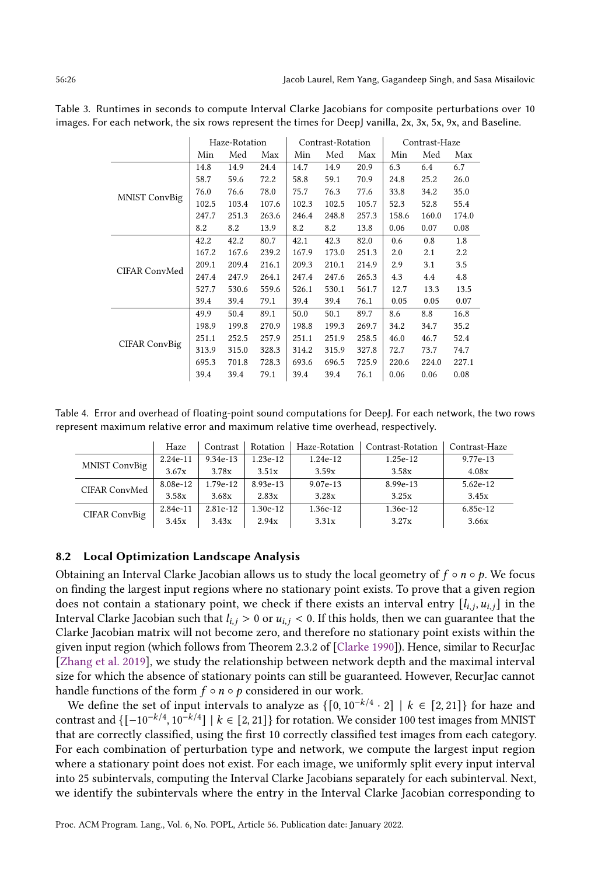|                      | Haze-Rotation |       |       | Contrast-Rotation |       |       | Contrast-Haze |       |       |
|----------------------|---------------|-------|-------|-------------------|-------|-------|---------------|-------|-------|
|                      | Min           | Med   | Max   | Min               | Med   | Max   | Min           | Med   | Max   |
|                      | 14.8          | 14.9  | 24.4  | 14.7              | 14.9  | 20.9  | 6.3           | 6.4   | 6.7   |
|                      | 58.7          | 59.6  | 72.2  | 58.8              | 59.1  | 70.9  | 24.8          | 25.2  | 26.0  |
| <b>MNIST ConvBig</b> | 76.0          | 76.6  | 78.0  | 75.7              | 76.3  | 77.6  | 33.8          | 34.2  | 35.0  |
|                      | 102.5         | 103.4 | 107.6 | 102.3             | 102.5 | 105.7 | 52.3          | 52.8  | 55.4  |
|                      | 247.7         | 251.3 | 263.6 | 246.4             | 248.8 | 257.3 | 158.6         | 160.0 | 174.0 |
|                      | 8.2           | 8.2   | 13.9  | 8.2               | 8.2   | 13.8  | 0.06          | 0.07  | 0.08  |
|                      | 42.2          | 42.2  | 80.7  | 42.1              | 42.3  | 82.0  | 0.6           | 0.8   | 1.8   |
|                      | 167.2         | 167.6 | 239.2 | 167.9             | 173.0 | 251.3 | 2.0           | 2.1   | 2.2   |
| CIFAR ConvMed        | 209.1         | 209.4 | 216.1 | 209.3             | 210.1 | 214.9 | 2.9           | 3.1   | 3.5   |
|                      | 247.4         | 247.9 | 264.1 | 247.4             | 247.6 | 265.3 | 4.3           | 4.4   | 4.8   |
|                      | 527.7         | 530.6 | 559.6 | 526.1             | 530.1 | 561.7 | 12.7          | 13.3  | 13.5  |
|                      | 39.4          | 39.4  | 79.1  | 39.4              | 39.4  | 76.1  | 0.05          | 0.05  | 0.07  |
| CIFAR ConvBig        | 49.9          | 50.4  | 89.1  | 50.0              | 50.1  | 89.7  | 8.6           | 8.8   | 16.8  |
|                      | 198.9         | 199.8 | 270.9 | 198.8             | 199.3 | 269.7 | 34.2          | 34.7  | 35.2  |
|                      | 251.1         | 252.5 | 257.9 | 251.1             | 251.9 | 258.5 | 46.0          | 46.7  | 52.4  |
|                      | 313.9         | 315.0 | 328.3 | 314.2             | 315.9 | 327.8 | 72.7          | 73.7  | 74.7  |
|                      | 695.3         | 701.8 | 728.3 | 693.6             | 696.5 | 725.9 | 220.6         | 224.0 | 227.1 |
|                      | 39.4          | 39.4  | 79.1  | 39.4              | 39.4  | 76.1  | 0.06          | 0.06  | 0.08  |

<span id="page-25-0"></span>Table 3. Runtimes in seconds to compute Interval Clarke Jacobians for composite perturbations over 10 images. For each network, the six rows represent the times for DeepJ vanilla, 2x, 3x, 5x, 9x, and Baseline.

<span id="page-25-1"></span>Table 4. Error and overhead of floating-point sound computations for DeepJ. For each network, the two rows represent maximum relative error and maximum relative time overhead, respectively.

|               | Haze     | Contrast | Rotation   | Haze-Rotation | Contrast-Rotation | Contrast-Haze |
|---------------|----------|----------|------------|---------------|-------------------|---------------|
| MNIST ConvBig | 2.24e-11 | 9.34e-13 | $1.23e-12$ | 1.24e-12      | 1.25e-12          | 9.77e-13      |
|               | 3.67x    | 3.78x    | 3.51x      | 3.59x         | 3.58x             | 4.08x         |
| CIFAR ConvMed | 8.08e-12 | 1.79e-12 | 8.93e-13   | $9.07e-13$    | 8.99e-13          | 5.62e-12      |
|               | 3.58x    | 3.68x    | 2.83x      | 3.28x         | 3.25x             | 3.45x         |
| CIFAR ConvBig | 2.84e-11 | 2.81e-12 | $1.30e-12$ | 1.36e-12      | 1.36e-12          | 6.85e-12      |
|               | 3.45x    | 3.43x    | 2.94x      | 3.31x         | 3.27x             | 3.66x         |

#### 8.2 Local Optimization Landscape Analysis

Obtaining an Interval Clarke Jacobian allows us to study the local geometry of  $f \circ n \circ p$ . We focus on finding the largest input regions where no stationary point exists. To prove that a given region does not contain a stationary point, we check if there exists an interval entry  $[l_{i,j}, u_{i,j}]$  in the Interval Clarke Jacobian such that  $l_{i,j} > 0$  or  $u_{i,j} < 0$ . If this holds, then we can guarantee that the Clarke Jacobian matrix will not become zero, and therefore no stationary point exists within the given input region (which follows from Theorem 2.3.2 of [\[Clarke](#page-28-1) [1990\]](#page-28-1)). Hence, similar to RecurJac [\[Zhang et al.](#page-29-3) [2019\]](#page-29-3), we study the relationship between network depth and the maximal interval size for which the absence of stationary points can still be guaranteed. However, RecurJac cannot handle functions of the form  $f \circ n \circ p$  considered in our work.

We define the set of input intervals to analyze as  $\{ [0, 10^{-k/4} \cdot 2] \mid k \in [2, 21] \}$  for haze and contrast and  $\{[-10^{-k/4}, 10^{-k/4}] \mid k \in [2, 21]\}$  for rotation. We consider 100 test images from MNIST that are correctly classified, using the first 10 correctly classified test images from each category. For each combination of perturbation type and network, we compute the largest input region where a stationary point does not exist. For each image, we uniformly split every input interval into 25 subintervals, computing the Interval Clarke Jacobians separately for each subinterval. Next, we identify the subintervals where the entry in the Interval Clarke Jacobian corresponding to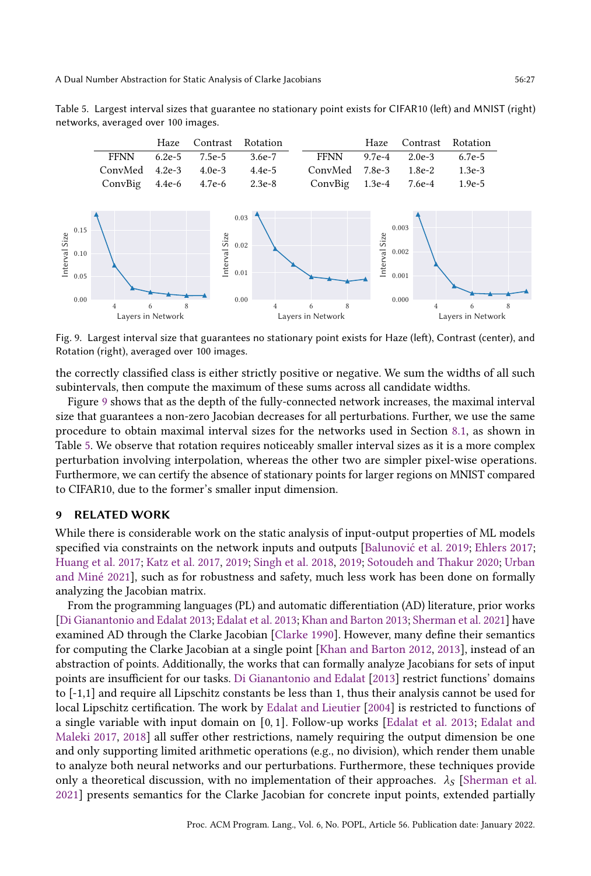<span id="page-26-1"></span><span id="page-26-0"></span>

Fig. 9. Largest interval size that guarantees no stationary point exists for Haze (left), Contrast (center), and Rotation (right), averaged over 100 images.

the correctly classified class is either strictly positive or negative. We sum the widths of all such subintervals, then compute the maximum of these sums across all candidate widths.

Figure [9](#page-26-0) shows that as the depth of the fully-connected network increases, the maximal interval size that guarantees a non-zero Jacobian decreases for all perturbations. Further, we use the same procedure to obtain maximal interval sizes for the networks used in Section [8.1,](#page-21-2) as shown in Table [5.](#page-26-1) We observe that rotation requires noticeably smaller interval sizes as it is a more complex perturbation involving interpolation, whereas the other two are simpler pixel-wise operations. Furthermore, we can certify the absence of stationary points for larger regions on MNIST compared to CIFAR10, due to the former's smaller input dimension.

## 9 RELATED WORK

While there is considerable work on the static analysis of input-output properties of ML models specified via constraints on the network inputs and outputs [\[Balunović et al.](#page-27-2) [2019;](#page-27-2) [Ehlers](#page-28-20) [2017;](#page-28-20) [Huang et al.](#page-28-21) [2017;](#page-28-21) [Katz et al.](#page-28-22) [2017,](#page-28-22) [2019;](#page-28-23) [Singh et al.](#page-29-7) [2018,](#page-29-7) [2019;](#page-29-8) [Sotoudeh and Thakur](#page-29-20) [2020;](#page-29-20) [Urban](#page-29-9) [and Miné](#page-29-9) [2021\]](#page-29-9), such as for robustness and safety, much less work has been done on formally analyzing the Jacobian matrix.

From the programming languages (PL) and automatic differentiation (AD) literature, prior works [\[Di Gianantonio and Edalat](#page-28-7) [2013;](#page-28-7) [Edalat et al.](#page-28-9) [2013;](#page-28-9) [Khan and Barton](#page-28-6) [2013;](#page-28-6) [Sherman et al.](#page-29-0) [2021\]](#page-29-0) have examined AD through the Clarke Jacobian [\[Clarke](#page-28-1) [1990\]](#page-28-1). However, many define their semantics for computing the Clarke Jacobian at a single point [\[Khan and Barton](#page-28-24) [2012,](#page-28-24) [2013\]](#page-28-6), instead of an abstraction of points. Additionally, the works that can formally analyze Jacobians for sets of input points are insufficient for our tasks. [Di Gianantonio and Edalat](#page-28-7) [\[2013\]](#page-28-7) restrict functions' domains to [-1,1] and require all Lipschitz constants be less than 1, thus their analysis cannot be used for local Lipschitz certification. The work by [Edalat and Lieutier](#page-28-8) [\[2004\]](#page-28-8) is restricted to functions of a single variable with input domain on [0, 1]. Follow-up works [\[Edalat et al.](#page-28-9) [2013;](#page-28-9) [Edalat and](#page-28-4) [Maleki](#page-28-4) [2017,](#page-28-4) [2018\]](#page-28-10) all suffer other restrictions, namely requiring the output dimension be one and only supporting limited arithmetic operations (e.g., no division), which render them unable to analyze both neural networks and our perturbations. Furthermore, these techniques provide only a theoretical discussion, with no implementation of their approaches.  $\lambda_{\mathcal{S}}$  [\[Sherman et al.](#page-29-0) [2021\]](#page-29-0) presents semantics for the Clarke Jacobian for concrete input points, extended partially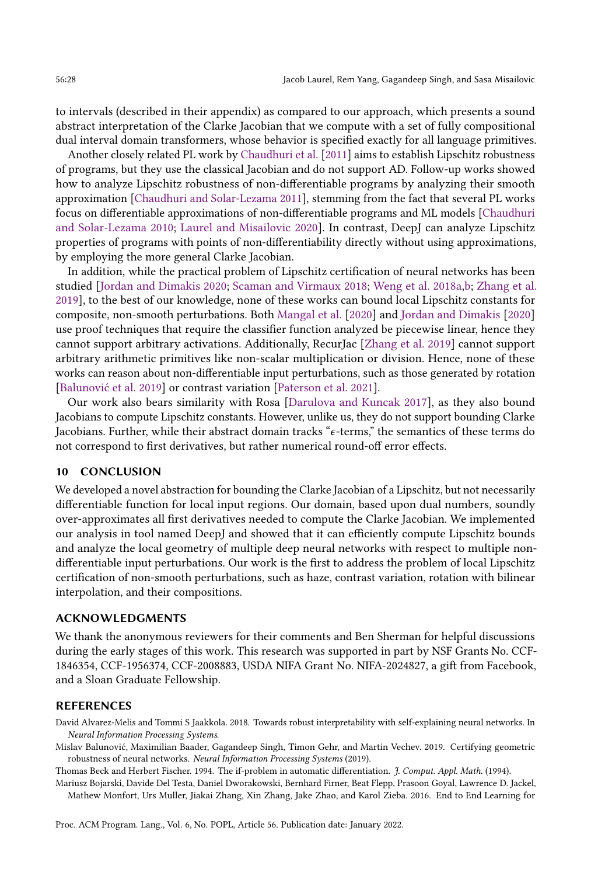to intervals (described in their appendix) as compared to our approach, which presents a sound abstract interpretation of the Clarke Jacobian that we compute with a set of fully compositional dual interval domain transformers, whose behavior is specified exactly for all language primitives.

Another closely related PL work by [Chaudhuri et al.](#page-28-25) [\[2011\]](#page-28-25) aims to establish Lipschitz robustness of programs, but they use the classical Jacobian and do not support AD. Follow-up works showed how to analyze Lipschitz robustness of non-differentiable programs by analyzing their smooth approximation [\[Chaudhuri and Solar-Lezama](#page-28-26) [2011\]](#page-28-26), stemming from the fact that several PL works focus on differentiable approximations of non-differentiable programs and ML models [\[Chaudhuri](#page-28-27) [and Solar-Lezama](#page-28-27) [2010;](#page-28-27) [Laurel and Misailovic](#page-28-28) [2020\]](#page-28-28). In contrast, DeepJ can analyze Lipschitz properties of programs with points of non-differentiability directly without using approximations, by employing the more general Clarke Jacobian.

In addition, while the practical problem of Lipschitz certification of neural networks has been studied [\[Jordan and Dimakis](#page-28-5) [2020;](#page-28-5) [Scaman and Virmaux](#page-29-21) [2018;](#page-29-21) [Weng et al.](#page-29-22) [2018a](#page-29-22)[,b;](#page-29-23) [Zhang et al.](#page-29-3) [2019\]](#page-29-3), to the best of our knowledge, none of these works can bound local Lipschitz constants for composite, non-smooth perturbations. Both [Mangal et al.](#page-29-4) [\[2020\]](#page-29-4) and [Jordan and Dimakis](#page-28-5) [\[2020\]](#page-28-5) use proof techniques that require the classifier function analyzed be piecewise linear, hence they cannot support arbitrary activations. Additionally, RecurJac [\[Zhang et al.](#page-29-3) [2019\]](#page-29-3) cannot support arbitrary arithmetic primitives like non-scalar multiplication or division. Hence, none of these works can reason about non-differentiable input perturbations, such as those generated by rotation [\[Balunović et al.](#page-27-2) [2019\]](#page-27-2) or contrast variation [\[Paterson et al.](#page-29-15) [2021\]](#page-29-15).

Our work also bears similarity with Rosa [\[Darulova and Kuncak](#page-28-17) [2017\]](#page-28-17), as they also bound Jacobians to compute Lipschitz constants. However, unlike us, they do not support bounding Clarke Jacobians. Further, while their abstract domain tracks "e-terms," the semantics of these terms do not correspond to first derivatives, but rather numerical round-off error effects.

## 10 CONCLUSION

We developed a novel abstraction for bounding the Clarke Jacobian of a Lipschitz, but not necessarily differentiable function for local input regions. Our domain, based upon dual numbers, soundly over-approximates all first derivatives needed to compute the Clarke Jacobian. We implemented our analysis in tool named DeepJ and showed that it can efficiently compute Lipschitz bounds and analyze the local geometry of multiple deep neural networks with respect to multiple nondifferentiable input perturbations. Our work is the first to address the problem of local Lipschitz certification of non-smooth perturbations, such as haze, contrast variation, rotation with bilinear interpolation, and their compositions.

#### ACKNOWLEDGMENTS

We thank the anonymous reviewers for their comments and Ben Sherman for helpful discussions during the early stages of this work. This research was supported in part by NSF Grants No. CCF-1846354, CCF-1956374, CCF-2008883, USDA NIFA Grant No. NIFA-2024827, a gift from Facebook, and a Sloan Graduate Fellowship.

## REFERENCES

<span id="page-27-1"></span>David Alvarez-Melis and Tommi S Jaakkola. 2018. Towards robust interpretability with self-explaining neural networks. In Neural Information Processing Systems.

<span id="page-27-2"></span>Mislav Balunović, Maximilian Baader, Gagandeep Singh, Timon Gehr, and Martin Vechev. 2019. Certifying geometric robustness of neural networks. Neural Information Processing Systems (2019).

<span id="page-27-3"></span>Thomas Beck and Herbert Fischer. 1994. The if-problem in automatic differentiation. J. Comput. Appl. Math. (1994).

<span id="page-27-0"></span>Mariusz Bojarski, Davide Del Testa, Daniel Dworakowski, Bernhard Firner, Beat Flepp, Prasoon Goyal, Lawrence D. Jackel, Mathew Monfort, Urs Muller, Jiakai Zhang, Xin Zhang, Jake Zhao, and Karol Zieba. 2016. End to End Learning for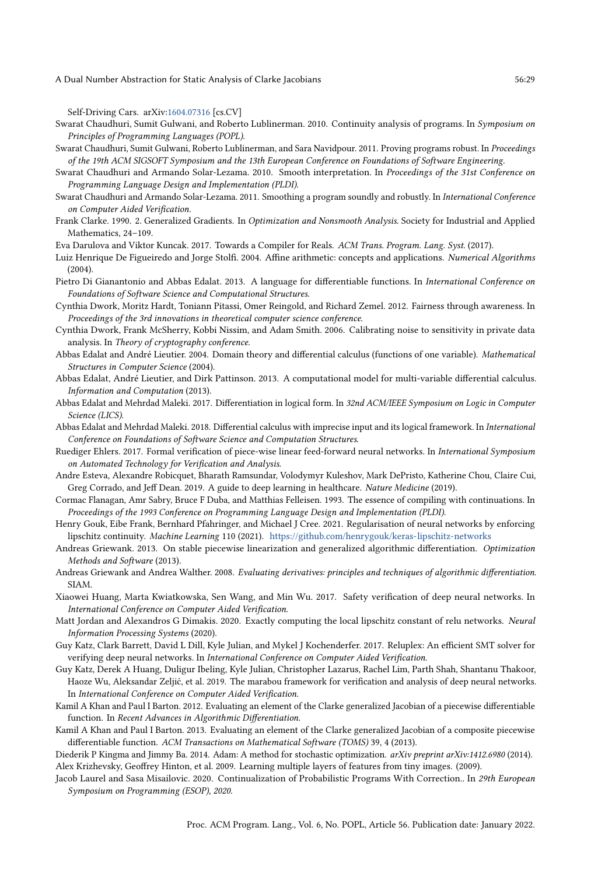Self-Driving Cars. arXiv[:1604.07316](https://arxiv.org/abs/1604.07316) [cs.CV]

- <span id="page-28-13"></span>Swarat Chaudhuri, Sumit Gulwani, and Roberto Lublinerman. 2010. Continuity analysis of programs. In Symposium on Principles of Programming Languages (POPL).
- <span id="page-28-25"></span>Swarat Chaudhuri, Sumit Gulwani, Roberto Lublinerman, and Sara Navidpour. 2011. Proving programs robust. In Proceedings of the 19th ACM SIGSOFT Symposium and the 13th European Conference on Foundations of Software Engineering.

<span id="page-28-27"></span>Swarat Chaudhuri and Armando Solar-Lezama. 2010. Smooth interpretation. In Proceedings of the 31st Conference on Programming Language Design and Implementation (PLDI).

- <span id="page-28-26"></span>Swarat Chaudhuri and Armando Solar-Lezama. 2011. Smoothing a program soundly and robustly. In International Conference on Computer Aided Verification.
- <span id="page-28-1"></span>Frank Clarke. 1990. 2. Generalized Gradients. In Optimization and Nonsmooth Analysis. Society for Industrial and Applied Mathematics, 24–109.
- <span id="page-28-17"></span>Eva Darulova and Viktor Kuncak. 2017. Towards a Compiler for Reals. ACM Trans. Program. Lang. Syst. (2017).
- <span id="page-28-16"></span>Luiz Henrique De Figueiredo and Jorge Stolfi. 2004. Affine arithmetic: concepts and applications. Numerical Algorithms (2004).
- <span id="page-28-7"></span>Pietro Di Gianantonio and Abbas Edalat. 2013. A language for differentiable functions. In International Conference on Foundations of Software Science and Computational Structures.
- <span id="page-28-2"></span>Cynthia Dwork, Moritz Hardt, Toniann Pitassi, Omer Reingold, and Richard Zemel. 2012. Fairness through awareness. In Proceedings of the 3rd innovations in theoretical computer science conference.
- <span id="page-28-3"></span>Cynthia Dwork, Frank McSherry, Kobbi Nissim, and Adam Smith. 2006. Calibrating noise to sensitivity in private data analysis. In Theory of cryptography conference.
- <span id="page-28-8"></span>Abbas Edalat and André Lieutier. 2004. Domain theory and differential calculus (functions of one variable). Mathematical Structures in Computer Science (2004).
- <span id="page-28-9"></span>Abbas Edalat, André Lieutier, and Dirk Pattinson. 2013. A computational model for multi-variable differential calculus. Information and Computation (2013).
- <span id="page-28-4"></span>Abbas Edalat and Mehrdad Maleki. 2017. Differentiation in logical form. In 32nd ACM/IEEE Symposium on Logic in Computer Science (LICS).
- <span id="page-28-10"></span>Abbas Edalat and Mehrdad Maleki. 2018. Differential calculus with imprecise input and its logical framework. In International Conference on Foundations of Software Science and Computation Structures.
- <span id="page-28-20"></span>Ruediger Ehlers. 2017. Formal verification of piece-wise linear feed-forward neural networks. In International Symposium on Automated Technology for Verification and Analysis.
- <span id="page-28-0"></span>Andre Esteva, Alexandre Robicquet, Bharath Ramsundar, Volodymyr Kuleshov, Mark DePristo, Katherine Chou, Claire Cui, Greg Corrado, and Jeff Dean. 2019. A guide to deep learning in healthcare. Nature Medicine (2019).
- <span id="page-28-18"></span>Cormac Flanagan, Amr Sabry, Bruce F Duba, and Matthias Felleisen. 1993. The essence of compiling with continuations. In Proceedings of the 1993 Conference on Programming Language Design and Implementation (PLDI).
- <span id="page-28-12"></span>Henry Gouk, Eibe Frank, Bernhard Pfahringer, and Michael J Cree. 2021. Regularisation of neural networks by enforcing lipschitz continuity. Machine Learning 110 (2021). <https://github.com/henrygouk/keras-lipschitz-networks>
- <span id="page-28-14"></span>Andreas Griewank. 2013. On stable piecewise linearization and generalized algorithmic differentiation. Optimization Methods and Software (2013).
- <span id="page-28-15"></span>Andreas Griewank and Andrea Walther. 2008. Evaluating derivatives: principles and techniques of algorithmic differentiation. SIAM.
- <span id="page-28-21"></span>Xiaowei Huang, Marta Kwiatkowska, Sen Wang, and Min Wu. 2017. Safety verification of deep neural networks. In International Conference on Computer Aided Verification.
- <span id="page-28-5"></span>Matt Jordan and Alexandros G Dimakis. 2020. Exactly computing the local lipschitz constant of relu networks. Neural Information Processing Systems (2020).
- <span id="page-28-22"></span>Guy Katz, Clark Barrett, David L Dill, Kyle Julian, and Mykel J Kochenderfer. 2017. Reluplex: An efficient SMT solver for verifying deep neural networks. In International Conference on Computer Aided Verification.
- <span id="page-28-23"></span>Guy Katz, Derek A Huang, Duligur Ibeling, Kyle Julian, Christopher Lazarus, Rachel Lim, Parth Shah, Shantanu Thakoor, Haoze Wu, Aleksandar Zeljić, et al. 2019. The marabou framework for verification and analysis of deep neural networks. In International Conference on Computer Aided Verification.
- <span id="page-28-24"></span>Kamil A Khan and Paul I Barton. 2012. Evaluating an element of the Clarke generalized Jacobian of a piecewise differentiable function. In Recent Advances in Algorithmic Differentiation.
- <span id="page-28-6"></span>Kamil A Khan and Paul I Barton. 2013. Evaluating an element of the Clarke generalized Jacobian of a composite piecewise differentiable function. ACM Transactions on Mathematical Software (TOMS) 39, 4 (2013).

<span id="page-28-19"></span><span id="page-28-11"></span>Diederik P Kingma and Jimmy Ba. 2014. Adam: A method for stochastic optimization. arXiv preprint arXiv:1412.6980 (2014). Alex Krizhevsky, Geoffrey Hinton, et al. 2009. Learning multiple layers of features from tiny images. (2009).

<span id="page-28-28"></span>Jacob Laurel and Sasa Misailovic. 2020. Continualization of Probabilistic Programs With Correction.. In 29th European Symposium on Programming (ESOP), 2020.